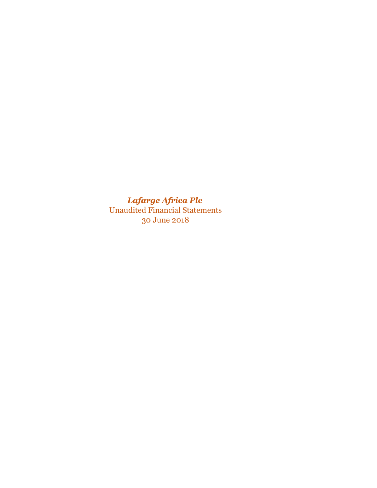*Lafarge Africa Plc* Unaudited Financial Statements 30 June 2018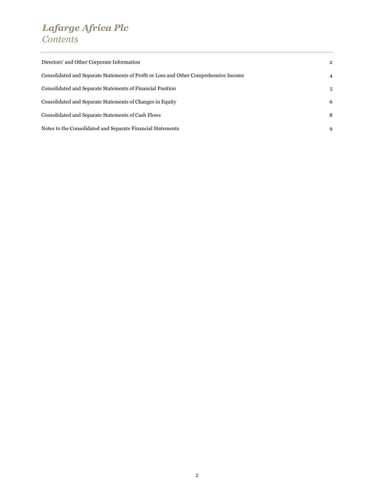# *Lafarge Africa Plc Contents*

| Directors' and Other Corporate Information                                            | $\mathbf{2}$   |
|---------------------------------------------------------------------------------------|----------------|
| Consolidated and Separate Statements of Profit or Loss and Other Comprehensive Income | $\overline{4}$ |
| Consolidated and Separate Statements of Financial Position                            | 5              |
| Consolidated and Separate Statements of Changes in Equity                             | 6              |
| Consolidated and Separate Statements of Cash Flows                                    | 8              |
| Notes to the Consolidated and Separate Financial Statements                           | 9              |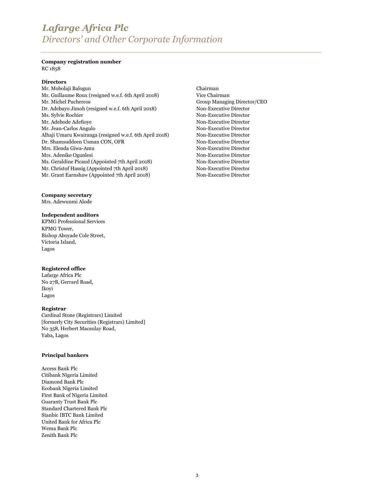# *Lafarge Africa Plc Directors' and Other Corporate Information*

### **Company registration number** RC 1858

### **Directors**

Mr. Mobolaji Balogun Chairman [Mr. Guillaume Roux \(resigned w.e.f. 6th April 2018\)](http://www.lafarge.com.ng/wps/portal/ng/Board-of-Directors/Biography?WCM_GLOBAL_CONTEXT=/wps/wcm/connectlib_ng/Site_ng/Bio/WAPCO_Board_of_Directors/List/Biography_1374061182650/BioEN) Vice Chairman [Mr. Michel Puchercos](http://www.lafarge.com.ng/wps/portal/ng/Board-of-Directors/Biography?WCM_GLOBAL_CONTEXT=/wps/wcm/connectlib_ng/Site_ng/Bio/WAPCO_Board_of_Directors/List/Biography_1464852167944/BioEN) Group Managing Director/CEO [Dr. Adebayo Jimoh \(resigned w.e.f. 6th April 2018\)](http://www.lafarge.com.ng/wps/portal/ng/Board-of-Directors/Biography?WCM_GLOBAL_CONTEXT=/wps/wcm/connectlib_ng/Site_ng/Bio/WAPCO_Board_of_Directors/List/Biography_1374062246756/BioEN) Non-Executive Director [Ms. Sylvie Rochier](http://www.lafarge.com.ng/wps/portal/ng/Board-of-Directors/Biography?WCM_GLOBAL_CONTEXT=/wps/wcm/connectlib_ng/Site_ng/Bio/WAPCO_Board_of_Directors/List/Biography_1374062844651/BioEN) Non-Executive Director [Mr. Adebode Adefioye](http://www.lafarge.com.ng/wps/portal/ng/Board-of-Directors/Biography?WCM_GLOBAL_CONTEXT=/wps/wcm/connectlib_ng/Site_ng/Bio/WAPCO_Board_of_Directors/List/Biography_1374141060260/BioEN) Non-Executive Director [Mr. Jean-Carlos Angulo](http://www.lafarge.com.ng/wps/portal/ng/Board-of-Directors/Biography?WCM_GLOBAL_CONTEXT=/wps/wcm/connectlib_ng/Site_ng/Bio/WAPCO_Board_of_Directors/List/Biography_1374062477718/BioEN) Non-Executive Director [Alhaji Umaru Kwairanga \(resigned w.e.f. 6th April 2018\)](http://www.lafarge.com.ng/wps/portal/ng/Board-of-Directors/Biography?WCM_GLOBAL_CONTEXT=/wps/wcm/connectlib_ng/Site_ng/Bio/WAPCO_Board_of_Directors/List/Biography_1429613913161/BioEN) Non-Executive Director [Dr. Shamsuddeen Usman CON, OFR](http://www.lafarge.com.ng/wps/portal/ng/Board-of-Directors/Biography?WCM_GLOBAL_CONTEXT=/wps/wcm/connectlib_ng/Site_ng/Bio/WAPCO_Board_of_Directors/List/Biography_1429613463515/BioEN) Non-Executive Director [Mrs. Elenda Giwa-Amu](http://www.lafarge.com.ng/wps/portal/ng/Board-of-Directors/Biography?WCM_GLOBAL_CONTEXT=/wps/wcm/connectlib_ng/Site_ng/Bio/WAPCO_Board_of_Directors/List/Biography_1429613806493/BioEN) Non-Executive Director [Mrs. Adenike Ogunlesi](http://www.lafarge.com.ng/wps/portal/ng/Board-of-Directors/Biography?WCM_GLOBAL_CONTEXT=/wps/wcm/connectlib_ng/Site_ng/Bio/WAPCO_Board_of_Directors/List/Biography_1429613698989/BioEN) Non-Executive Director Ms. Geraldine Picaud (Appointed 7th April 2018) Non-Executive Director Mr. Christof Hassig (Appointed 7th April 2018) Non-Executive Director Mr. Grant Earnshaw (Appointed 7th April 2018) Non-Executive Director

**Company secretary**

Mrs. Adewunmi Alode

### **Independent auditors**

KPMG Professional Services KPMG Tower, Bishop Aboyade Cole Street, Victoria Island, Lagos

### **Registered office**

Lafarge Africa Plc No 27B, Gerrard Road, Ikoyi Lagos

### **Registrar**

Cardinal Stone (Registrars) Limited [formerly City Securities (Registrars) Limited] No 358, Herbert Macaulay Road, Yaba, Lagos

### **Principal bankers**

Access Bank Plc Citibank Nigeria Limited Diamond Bank Plc Ecobank Nigeria Limited First Bank of Nigeria Limited Guaranty Trust Bank Plc Standard Chartered Bank Plc Stanbic IBTC Bank Limited United Bank for Africa Plc Wema Bank Plc Zenith Bank Plc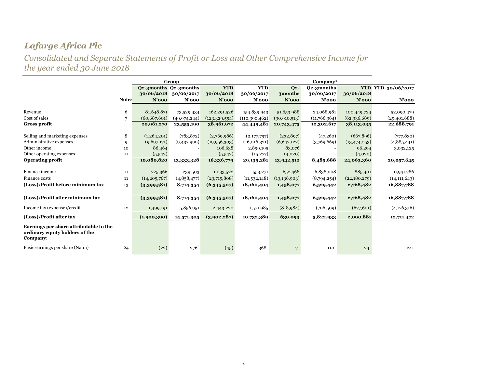*Consolidated and Separate Statements of Profit or Loss and Other Comprehensive Income for the year ended 30 June 2018*

|                                                                                      | Group        |                |                       |                 |               |                | Company*     |                |                           |
|--------------------------------------------------------------------------------------|--------------|----------------|-----------------------|-----------------|---------------|----------------|--------------|----------------|---------------------------|
|                                                                                      |              |                | Q2-3months Q2-3months | <b>YTD</b>      | <b>YTD</b>    | Q <sub>2</sub> | Q2-3months   |                | <b>YTD YTD 30/06/2017</b> |
|                                                                                      |              | 30/06/2018     | 30/06/2017            | 30/06/2018      | 30/06/2017    | 3months        | 30/06/2017   | 30/06/2018     |                           |
|                                                                                      | <b>Notes</b> | $N'$ 000       | $N'$ 000              | $N'$ 000        | $N'$ 000      | $N'$ 000       | $N'$ 000     | $N'$ 000       | $N'$ 000                  |
|                                                                                      |              |                |                       |                 |               |                |              |                |                           |
| Revenue                                                                              | 6            | 81,648,871     | 73,529,434            | 162,291,526     | 154,839,943   | 51,653,988     | 24,068,981   | 100,449,724    | 52,090,479                |
| Cost of sales                                                                        | 7            | (60, 687, 601) | (49,974,244)          | (123, 329, 554) | (110,390,462) | (30, 910, 513) | (11,766,364) | (62,336,689)   | (29, 401, 688)            |
| <b>Gross profit</b>                                                                  |              | 20,961,270     | 23,555,190            | 38,961,972      | 44,449,481    | 20,743,475     | 12,302,617   | 38,113,035     | 22,688,791                |
| Selling and marketing expenses                                                       | 8            | (1,264,201)    | (783, 872)            | (2,769,986)     | (2,177,797)   | (232, 897)     | (47,260)     | (667, 896)     | (777, 830)                |
| Administrative expenses                                                              | 9            | (9,697,171)    | (9,437,990)           | (19, 956, 303)  | (16,016,321)  | (6,647,122)    | (3,769,669)  | (13, 474, 053) | (4,885,441)               |
| Other income                                                                         | 10           | 86,464         |                       | 106,638         | 2,899,195     | 83,076         |              | 96,294         | 3,032,125                 |
| Other operating expenses                                                             | 11           | (5,542)        |                       | (5,542)         | (15, 277)     | (4,020)        |              | (4,020)        |                           |
| <b>Operating profit</b>                                                              |              | 10,080,820     | 13,333,328            | 16,336,779      | 29,139,281    | 13,942,512     | 8,485,688    | 24,063,360     | 20,057,645                |
| Finance income                                                                       | 11           | 725,366        | 239,503               | 1,033,522       | 553,271       | 652,468        | 6,838,008    | 885,401        | 10,941,786                |
| Finance costs                                                                        | 11           | (14, 205, 767) | (4,858,477)           | (23,715,808)    | (11,532,148)  | (13, 136, 903) | (8,794,254)  | (22,180,279)   | (14, 111, 643)            |
| (Loss)/Profit before minimum tax                                                     | 13           | (3,399,581)    | 8,714,354             | (6,345,507)     | 18,160,404    | 1,458,077      | 6,529,442    | 2,768,482      | 16,887,788                |
|                                                                                      |              |                |                       |                 |               |                |              |                |                           |
| (Loss)/Profit after minimum tax                                                      |              | (3,399,581)    | 8,714,354             | (6,345,507)     | 18,160,404    | 1,458,077      | 6,529,442    | 2,768,482      | 16,887,788                |
| Income tax (expense)/credit                                                          | 12           | 1,499,191      | 5,856,951             | 2,443,220       | 1,571,985     | (818, 984)     | (706, 509)   | (677, 601)     | (4,176,316)               |
| (Loss)/Profit after tax                                                              |              | (1,900,390)    | 14,571,305            | (3,902,287)     | 19,732,389    | 639,093        | 5,822,933    | 2,090,881      | 12,711,472                |
| Earnings per share attributable to the<br>ordinary equity holders of the<br>Company: |              |                |                       |                 |               |                |              |                |                           |
| Basic earnings per share (Naira)                                                     | 24           | (22)           | 276                   | (45)            | 368           | $\overline{7}$ | 110          | 24             | 241                       |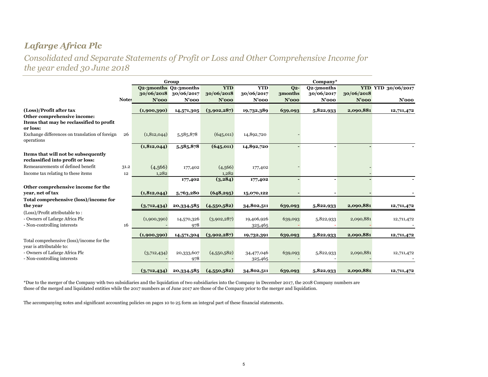*Consolidated and Separate Statements of Profit or Loss and Other Comprehensive Income for the year ended 30 June 2018*

|                                                                                                                                        |              |                        | Group                                        |                                      | $\bf Company^*$                      |                              |                                      |                        |                                       |
|----------------------------------------------------------------------------------------------------------------------------------------|--------------|------------------------|----------------------------------------------|--------------------------------------|--------------------------------------|------------------------------|--------------------------------------|------------------------|---------------------------------------|
|                                                                                                                                        | <b>Notes</b> | 30/06/2018<br>$N'$ 000 | Q2-3months Q2-3months<br>30/06/2017<br>N'ooo | <b>YTD</b><br>30/06/2018<br>$N'$ 000 | <b>YTD</b><br>30/06/2017<br>$N'$ 000 | $Q2-$<br>3months<br>$N'$ 000 | Q2-3months<br>30/06/2017<br>$N'$ 000 | 30/06/2018<br>$N'$ 000 | <b>YTD YTD 30/06/2017</b><br>$N'$ 000 |
| (Loss)/Profit after tax                                                                                                                |              | (1,900,390)            | 14,571,305                                   | (3,902,287)                          | 19,732,389                           | 639,093                      | 5,822,933                            | 2,090,881              | 12,711,472                            |
| Other comprehensive income:                                                                                                            |              |                        |                                              |                                      |                                      |                              |                                      |                        |                                       |
| Items that may be reclassified to profit<br>or loss:                                                                                   |              |                        |                                              |                                      |                                      |                              |                                      |                        |                                       |
| Exchange differences on translation of foreign<br>operations                                                                           | 26           | (1, 812, 044)          | 5,585,878                                    | (645, 011)                           | 14,892,720                           |                              |                                      |                        |                                       |
|                                                                                                                                        |              | (1, 812, 044)          | 5,585,878                                    | (645, 011)                           | 14,892,720                           |                              |                                      |                        |                                       |
| Items that will not be subsequently<br>reclassified into profit or loss:                                                               |              |                        |                                              |                                      |                                      |                              |                                      |                        |                                       |
| Remeasurements of defined benefit                                                                                                      | 31.2         | (4,566)                | 177,402                                      | (4,566)                              | 177,402                              |                              |                                      |                        |                                       |
| Income tax relating to these items                                                                                                     | 12           | 1,282                  |                                              | 1,282                                |                                      |                              |                                      |                        |                                       |
|                                                                                                                                        |              |                        | 177,402                                      | (3,284)                              | 177,402                              |                              |                                      |                        |                                       |
| Other comprehensive income for the                                                                                                     |              |                        |                                              |                                      |                                      |                              |                                      |                        |                                       |
| vear, net of tax                                                                                                                       |              | (1, 812, 044)          | 5,763,280                                    | (648, 295)                           | 15,070,122                           |                              |                                      |                        |                                       |
| <b>Total comprehensive (loss)/income for</b><br>the year                                                                               |              | (3,712,434)            | 20,334,585                                   | (4,550,582)                          | 34,802,511                           | 639,093                      | 5,822,933                            | 2,090,881              | 12,711,472                            |
| (Loss)/Profit attributable to:<br>- Owners of Lafarge Africa Plc<br>- Non-controlling interests                                        | 16           | (1,900,390)            | 14,570,326<br>978                            | (3,902,287)                          | 19,406,926<br>325,465                | 639,093                      | 5,822,933                            | 2,090,881              | 12,711,472                            |
|                                                                                                                                        |              | (1,900,390)            | 14,571,304                                   | (3,902,287)                          | 19,732,391                           | 639,093                      | 5,822,933                            | 2,090,881              | 12,711,472                            |
| Total comprehensive (loss)/income for the<br>year is attributable to:<br>- Owners of Lafarge Africa Plc<br>- Non-controlling interests |              | (3,712,434)            | 20,333,607<br>978                            | (4,550,582)                          | 34,477,046<br>325,465                | 639,093                      | 5,822,933                            | 2,090,881              | 12,711,472                            |
|                                                                                                                                        |              | (3,712,434)            | 20,334,585                                   | (4,550,582)                          | 34,802,511                           | 639,093                      | 5,822,933                            | 2,090,881              | 12,711,472                            |

\*Due to the merger of the Company with two subsidiaries and the liquidation of two subsidiaries into the Company in December 2017, the 2018 Company numbers are those of the merged and liquidated entities while the 2017 numbers as of June 2017 are those of the Company prior to the merger and liquidation.

The accompanying notes and significant accounting policies on pages 10 to 25 form an integral part of these financial statements.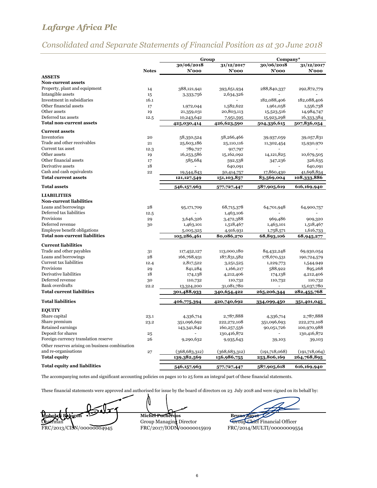# *Consolidated and Separate Statements of Financial Position as at 30 June 2018*

|                                                 |              | Group                     |                           | Company*      |                           |
|-------------------------------------------------|--------------|---------------------------|---------------------------|---------------|---------------------------|
|                                                 |              | 30/06/2018                | 31/12/2017                | 30/06/2018    | 31/12/2017                |
|                                                 | <b>Notes</b> | $N'$ 000                  | N'ooo                     | N'ooo         | $N'$ 000                  |
| <b>ASSETS</b>                                   |              |                           |                           |               |                           |
| <b>Non-current assets</b>                       |              |                           |                           |               |                           |
| Property, plant and equipment                   | 14           | 388,121,941               | 393,651,934               | 288,840,337   | 292,872,779               |
| Intangible assets                               | 15           | 3,333,756                 | 2,634,326                 |               |                           |
| Investment in subsidiaries                      | 16.1         |                           |                           | 182,088,406   | 182,088,406               |
| Other financial assets                          | 17           | 1,972,044                 | 1,582,622                 | 1,961,058     | 1,556,738                 |
| Other assets                                    | 19           | 21,359,031                | 20,803,113                | 15,523,516    | 14,984,747                |
| Deferred tax assets                             | 12.5         | 10,243,642                | 7,951,595                 | 15,923,298    | 16,333,384                |
| <b>Total non-current assets</b>                 |              | 425,030,414               | 426,623,590               | 504,336,615   | 507,836,054               |
| <b>Current assets</b>                           |              |                           |                           |               |                           |
| Inventories                                     | 20           | 58,350,524                | 58,266,466                | 39,937,059    | 39,057,831                |
| Trade and other receivables                     | 21           | 25,603,186                | 25,110,116                | 11,302,454    | 15,930,970                |
| Current tax asset                               | 12.3         | 789,727                   | 917,797                   |               |                           |
| Other assets                                    | 19           | 16,253,586                | 15,162,092                | 14,121,825    | 10,679,505                |
| Other financial assets                          | 17           | 585,684                   | 592,538                   | 347,236       | 326,635                   |
| Derivative assets                               | 18           |                           | 640,091                   |               | 640,091                   |
| Cash and cash equivalents                       | 22           | 19,544,843                | 50,414,757                | 17,860,430    | 41,698,854                |
| <b>Total current assets</b>                     |              | 121, 127, 549             | 151,103,857               | 83,569,004    | 108,333,886               |
| <b>Total assets</b>                             |              | 546,157,963               | 577,727,447               | 587,905,619   | 616,169,940               |
| <b>LIABILITIES</b>                              |              |                           |                           |               |                           |
| <b>Non-current liabilities</b>                  |              |                           |                           |               |                           |
| Loans and borrowings                            | 28           | 95,171,709                | 68,715,378                | 64,701,948    | 64,900,757                |
| Deferred tax liabilities                        | 12.5         |                           | 1,463,106                 |               |                           |
| Provisions                                      | 29           | 3,646,326                 | 3,472,388                 | 969,486       | 909,320                   |
| Deferred revenue                                | 30           | 1,463,101                 | 1,518,467                 | 1,463,101     | 1,518,467                 |
| Employee benefit obligations                    |              | 5,005,325                 | 4,916,931                 | 1,758,571     | 1,616,733                 |
| <b>Total non-current liabilities</b>            |              | 105,286,461               | 80,086,270                | 68,893,106    | 68,945,277                |
|                                                 |              |                           |                           |               |                           |
| <b>Current liabilities</b>                      |              |                           |                           |               |                           |
| Trade and other payables                        | 31           | 117,452,127               | 113,000,180               | 84,432,248    | 69,930,054                |
| Loans and borrowings<br>Current tax liabilities | 28           | 166,768,931               | 187,831,582               | 178,670,531   | 190,724,579               |
|                                                 | 12.4         | 2,817,522                 | 3,251,525                 | 1,229,773     | 1,544,949                 |
| Provisions<br>Derivative liabilities            | 29           | 841,284                   | 1,166,217                 | 588,922       | 895,268                   |
| Deferred revenue                                | 18           | 174,138                   | 4,212,406                 | 174,138       | 4,212,406                 |
| <b>Bank</b> overdrafts                          | 30           | 110,732                   | 110,732                   | 110,732       | 110,732                   |
| <b>Total current liabilities</b>                | 22.2         | 13,324,200<br>301,488,933 | 31,081,780<br>340,654,422 | 265,206,344   | 15,037,780<br>282,455,768 |
|                                                 |              |                           |                           |               |                           |
| <b>Total liabilities</b>                        |              | 406,775,394               | 420,740,692               | 334,099,450   | 351,401,045               |
| <b>EQUITY</b>                                   |              |                           |                           |               |                           |
| Share capital                                   | 23.1         | 4,336,714                 | 2,787,888                 | 4,336,714     | 2,787,888                 |
| Share premium                                   | 23.2         | 351,096,692               | 222,272,108               | 351,096,693   | 222,272,108               |
| Retained earnings                               |              | 143,341,842               | 160,257,556               | 90,051,726    | 100,970,988               |
| Deposit for shares                              | 25           |                           | 130,416,872               |               | 130,416,872               |
| Foreign currency translation reserve            | 26           | 9,290,632                 | 9,935,643                 | 39,103        | 39,103                    |
| Other reserves arising on business combination  |              |                           |                           |               |                           |
| and re-organisations                            | 27           | (368, 683, 312)           | (368, 683, 312)           | (191,718,068) | (191,718,064)             |
| <b>Total equity</b>                             |              | 139,382,569               | 156,986,755               | 253,806,169   | 264,768,895               |
|                                                 |              |                           |                           |               |                           |
| <b>Total equity and liabilities</b>             |              | 546,157,963               | 577,727,447               | 587,905,618   | 616,169,940               |

The accompanying notes and significant accounting policies on pages 10 to 25 form an integral part of these financial statements.

These financial statements were approved and authorised for issue by the board of directors on 23 July 2018 and were signed on its behalf by:

N Miche<del>l Pucher Pucher Contract</del> Bruno Bruno Bayet Group Managing Director<br>FRC/2013/CISN/00000004945<br>FRC/2017/IODN/00000015919 FRC/2014/MULTI/00000009554

6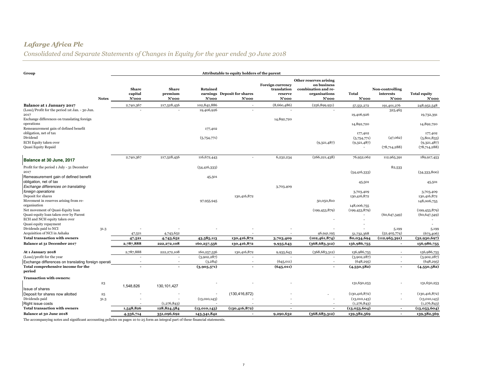# *Consolidated and Separate Statements of Changes in Equity for the year ended 30 June 2018*

| Group                                                                                                  |              |                                  |                                  |                   | Attributable to equity holders of the parent |                                                     |                                                                                        |                                       |                                       |                                       |
|--------------------------------------------------------------------------------------------------------|--------------|----------------------------------|----------------------------------|-------------------|----------------------------------------------|-----------------------------------------------------|----------------------------------------------------------------------------------------|---------------------------------------|---------------------------------------|---------------------------------------|
|                                                                                                        | <b>Notes</b> | <b>Share</b><br>capital<br>N'ooo | <b>Share</b><br>premium<br>N'ooo | Retained<br>N'ooo | earnings Deposit for shares<br>N'ooo         | Foreign currency<br>translation<br>reserve<br>N'ooo | Other reserves arising<br>on business<br>combination and re-<br>organisations<br>N'ooo | Total<br>$N'$ 000                     | Non-controlling<br>interests<br>N'ooo | <b>Total equity</b><br>N'ooo          |
| Balance at 1 January 2017                                                                              |              | 2,740,367                        | 217,528,456                      | 102,842,886       | ٠                                            | (8,660,486)                                         | (256, 899, 951)                                                                        | 57,551,272                            | 191,401,276                           | 248,952,548                           |
| (Loss)/Profit for the period 1st Jan. - 30 Jun.<br>2017<br>Exchange differences on translating foreign |              |                                  |                                  | 19,406,926        |                                              | 14,892,720                                          |                                                                                        | 19,406,926                            | 325,465                               | 19,732,391                            |
| operations<br>Remeasurement gain of defined benefit<br>obligation, net of tax                          |              |                                  |                                  | 177,402           |                                              |                                                     |                                                                                        | 14,892,720                            |                                       | 14,892,720                            |
| Dividend<br><b>ECH Equity taken over</b>                                                               |              |                                  |                                  | (5,754,771)       |                                              |                                                     | (9,321,487)                                                                            | 177,402<br>(5,754,771)<br>(9,321,487) | (47,062)                              | 177,402<br>(5,801,833)<br>(9,321,487) |
| Quasi Equity Repaid                                                                                    |              |                                  |                                  |                   |                                              |                                                     |                                                                                        | $\overline{\phantom{a}}$              | (78, 714, 288)                        | (78, 714, 288)                        |
| Balance at 30 June, 2017                                                                               |              | 2,740,367                        | 217,528,456                      | 116,672,443       |                                              | 6,232,234                                           | (266, 221, 438)                                                                        | 76,952,062                            | 112,965,391                           | 189,917,453                           |
| Profit for the period 1 July - 31 December                                                             |              |                                  |                                  | (54, 416, 333)    |                                              |                                                     |                                                                                        |                                       | 82,533                                |                                       |
| 2017<br>Remeasurement gain of defined benefit                                                          |              |                                  |                                  | 45,501            |                                              |                                                     |                                                                                        | (54, 416, 333)                        |                                       | (54,333,800)                          |
| obligation, net of tax<br>Exchange differences on translating                                          |              |                                  |                                  |                   |                                              | 3,703,409                                           |                                                                                        | 45,501                                |                                       | 45,501                                |
| foreign operations                                                                                     |              |                                  |                                  |                   |                                              |                                                     |                                                                                        | 3,703,409                             |                                       | 3,703,409                             |
| Deposit for shares<br>Movement in reserves arising from re-                                            |              |                                  |                                  |                   | 130,416,872                                  |                                                     |                                                                                        | 130,416,872                           |                                       | 130,416,872                           |
| organisation                                                                                           |              |                                  |                                  | 97,955,945        |                                              |                                                     | 50,050,810                                                                             | 148,006,755                           |                                       | 148,006,755                           |
| Net movement of Quasi-Equity loan                                                                      |              |                                  |                                  |                   |                                              |                                                     | (199, 453, 879)                                                                        | (199, 453, 879)                       |                                       | (199, 453, 879)                       |
| Quasi-equity loan taken over by Parent<br>ECH and NCH equity taken over                                |              |                                  |                                  |                   |                                              |                                                     |                                                                                        |                                       | (60, 647, 349)                        | (60, 647, 349)                        |
| Quasi equity repayment<br>Dividends paid to NCI                                                        |              |                                  |                                  |                   |                                              |                                                     |                                                                                        |                                       |                                       |                                       |
| Acquisition of NCI in Ashaka                                                                           | 31.3         | 47,521                           | 4,743,652                        |                   |                                              |                                                     | 46,941,195                                                                             | 51,732,368                            | 5,199<br>(52, 405, 774)               | 5,199<br>(673, 406)                   |
| <b>Total transaction with owners</b>                                                                   |              | 47,521                           | 4,743,652                        | 43,585,113        | 130,416,872                                  | 3,703,409                                           | (102, 461, 874)                                                                        | 80,034,694                            | (112, 965, 391)                       | (32,930,697)                          |
| Balance at 31 December 2017                                                                            |              | 2,787,888                        | 222,272,108                      | 160,257,556       | 130,416,872                                  | 9,935,643                                           | (368, 683, 312)                                                                        | 156,986,755                           |                                       | 156,986,755                           |
| At 1 January 2018                                                                                      |              | 2,787,888                        | 222, 272, 108                    | 160,257,556       | 130,416,872                                  | 9,935,643                                           | (368, 683, 312)                                                                        | 156,986,755                           | $\overline{\phantom{a}}$              | 156,986,755                           |
| (Loss)/profit for the year                                                                             |              | ÷,                               |                                  | (3,902,287)       |                                              |                                                     |                                                                                        | (3,902,287)                           | $\overline{\phantom{a}}$              | (3,902,287)                           |
| Exchange differences on translating foreign operati                                                    |              | $\overline{\phantom{a}}$         | ٠                                | (3, 284)          | $\overline{\phantom{a}}$                     | (645, 011)                                          | ٠                                                                                      | (648, 295)                            | $\overline{\phantom{a}}$              | (648, 295)                            |
| Total comprehensive income for the<br>period                                                           |              |                                  |                                  | (3,905,571)       |                                              | (645, 011)                                          |                                                                                        | (4,550,582)                           |                                       | (4,550,582)                           |
| <b>Transaction with owners:</b>                                                                        |              |                                  |                                  |                   |                                              |                                                     |                                                                                        |                                       |                                       |                                       |
|                                                                                                        | 23           | 1,548,826                        | 130, 101, 427                    |                   |                                              |                                                     |                                                                                        | 131,650,253                           |                                       | 131,650,253                           |
| Issue of shares                                                                                        |              |                                  |                                  |                   |                                              |                                                     |                                                                                        |                                       |                                       |                                       |
| Deposit for shares now allotted                                                                        | $^{\rm 25}$  |                                  |                                  |                   | (130, 416, 872)                              |                                                     |                                                                                        | (130, 416, 872)                       |                                       | (130, 416, 872)                       |
| Dividends paid<br>Right issue costs                                                                    | 31.3         |                                  | (1,276,843)                      | (13,010,143)      |                                              |                                                     |                                                                                        | (13,010,143)<br>(1,276,843)           |                                       | (13,010,143)<br>(1, 276, 843)         |
| <b>Total transaction with owners</b>                                                                   |              | 1,548,826                        | 128,824,584                      | (13,010,143)      | (130, 416, 872)                              |                                                     |                                                                                        | (13,053,604)                          | $\sim$                                | (13,053,604)                          |
| Balance at 30 June 2018                                                                                |              | 4,336,714                        | 351,096,692                      | 143,341,842       | $\blacksquare$                               | 9,290,632                                           | (368, 683, 312)                                                                        | 139,382,569                           | $\sim$                                | 139,382,569                           |

The accompanying notes and significant accounting policies on pages 10 to 25 form an integral part of these financial statements.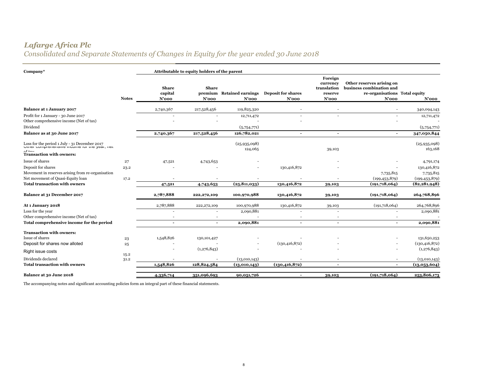*Consolidated and Separate Statements of Changes in Equity for the year ended 30 June 2018*

| $\mathbf{Company}^*$                                                                                                               |              |                                     | Attributable to equity holders of the parent |                                       |                                       |                                                           |                                                                                                 |                          |
|------------------------------------------------------------------------------------------------------------------------------------|--------------|-------------------------------------|----------------------------------------------|---------------------------------------|---------------------------------------|-----------------------------------------------------------|-------------------------------------------------------------------------------------------------|--------------------------|
|                                                                                                                                    | <b>Notes</b> | <b>Share</b><br>capital<br>$N'$ 000 | <b>Share</b><br>$N'$ 000                     | premium Retained earnings<br>$N'$ 000 | <b>Deposit for shares</b><br>$N'$ 000 | Foreign<br>currency<br>translation<br>reserve<br>$N'$ 000 | Other reserves arising on<br>business combination and<br>re-organisations Total equity<br>N'ooo | $N'$ 000                 |
| <b>Balance at 1 January 2017</b>                                                                                                   |              | 2,740,367                           | 217,528,456                                  | 119,825,320                           |                                       |                                                           |                                                                                                 | 340,094,143              |
| Profit for 1 January - 30 June 2017<br>Other comprehensive income (Net of tax)                                                     |              |                                     |                                              | 12,711,472                            |                                       |                                                           |                                                                                                 | 12,711,472               |
| Dividend                                                                                                                           |              |                                     |                                              | (5,754,771)                           |                                       |                                                           |                                                                                                 | (5,754,771)              |
| Balance as at 30 June 2017                                                                                                         |              | 2,740,367                           | 217,528,456                                  | 126,782,021                           | $\overline{\phantom{0}}$              | $\overline{\phantom{a}}$                                  |                                                                                                 | 347,050,844              |
| Loss for the period 1 July - 31 December 2017<br>United Comprementary contractor and year, near<br><b>Transaction with owners:</b> |              |                                     |                                              | (25, 935, 098)<br>124,065             |                                       | 39,103                                                    |                                                                                                 | (25,935,098)<br>163,168  |
| Issue of shares                                                                                                                    | 27           | 47,521                              | 4,743,653                                    |                                       |                                       |                                                           |                                                                                                 | 4,791,174                |
| Deposit for shares<br>Movement in reserves arising from re-organisation                                                            | 23.2         |                                     |                                              |                                       | 130,416,872                           |                                                           | 7,735,815                                                                                       | 130,416,872<br>7,735,815 |
| Net movement of Quasi-Equity loan                                                                                                  | 17.2         |                                     |                                              |                                       |                                       |                                                           | (199, 453, 879)                                                                                 | (199, 453, 879)          |
| <b>Total transaction with owners</b>                                                                                               |              | 47,521                              | 4,743,653                                    | (25, 811, 033)                        | 130,416,872                           | 39,103                                                    | (191,718,064)                                                                                   | (82, 281, 948)           |
| Balance at 31 December 2017                                                                                                        |              | 2,787,888                           | 222,272,109                                  | 100,970,988                           | 130,416,872                           | 39,103                                                    | (191,718,064)                                                                                   | 264,768,896              |
| At 1 January 2018                                                                                                                  |              | 2,787,888                           | 222, 272, 109                                | 100,970,988                           | 130,416,872                           | 39,103                                                    | (191,718,064)                                                                                   | 264,768,896              |
| Loss for the year                                                                                                                  |              |                                     |                                              | 2,090,881                             |                                       |                                                           |                                                                                                 | 2,090,881                |
| Other comprehensive income (Net of tax)<br>Total comprehensive income for the period                                               |              | $\overline{\phantom{0}}$            | $\blacksquare$                               | 2,090,881                             | $\overline{\phantom{a}}$              |                                                           |                                                                                                 | 2,090,881                |
|                                                                                                                                    |              |                                     |                                              |                                       |                                       |                                                           |                                                                                                 |                          |
| <b>Transaction with owners:</b>                                                                                                    |              |                                     |                                              |                                       |                                       |                                                           |                                                                                                 |                          |
| Issue of shares                                                                                                                    | 23           | 1,548,826                           | 130, 101, 427                                |                                       |                                       |                                                           |                                                                                                 | 131,650,253              |
| Deposit for shares now alloted                                                                                                     | 25           |                                     |                                              |                                       | (130, 416, 872)                       |                                                           |                                                                                                 | (130, 416, 872)          |
| Right issue costs                                                                                                                  | 15.2         |                                     | (1,276,843)                                  |                                       |                                       |                                                           |                                                                                                 | (1,276,843)              |
| Dividends declared                                                                                                                 | 31.2         |                                     |                                              | (13,010,143)                          |                                       |                                                           |                                                                                                 | (13,010,143)             |
| <b>Total transaction with owners</b>                                                                                               |              | 1,548,826                           | 128,824,584                                  | (13,010,143)                          | (130, 416, 872)                       | $\overline{\phantom{a}}$                                  |                                                                                                 | (13,053,604)             |
| Balance at 30 June 2018                                                                                                            |              | 4,336,714                           | 351,096,693                                  | 90,051,726                            |                                       | 39,103                                                    | (191,718,064)                                                                                   | 253,806,173              |

The accompanying notes and significant accounting policies form an integral part of these financial statements.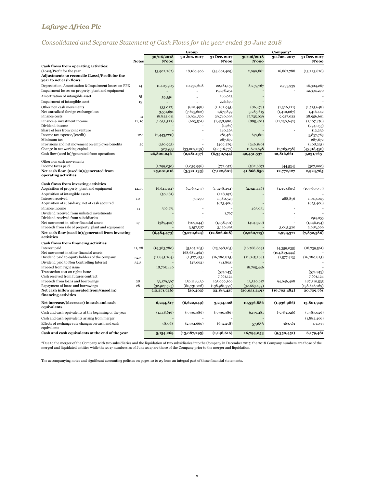# *Consolidated and Separate Statement of Cash Flows for the year ended 30 June 2018*

|                                                                                     |              |                       | Group          |                            |                | Company*        |                            |
|-------------------------------------------------------------------------------------|--------------|-----------------------|----------------|----------------------------|----------------|-----------------|----------------------------|
|                                                                                     |              | 30/06/2018            | 30 Jun. 2017   | 31 Dec. 2017               | 30/06/2018     | 30 Jun. 2017    | 31 Dec. 2017               |
|                                                                                     | <b>Notes</b> | N'ooo                 |                | N'ooo                      | N'ooo          |                 | N'ooo                      |
| Cash flows from operating activities:                                               |              |                       |                |                            |                |                 |                            |
| (Loss)/Profit for the year<br><b>Adjustments to reconcile (Loss)/Profit for the</b> |              | (3,902,287)           | 18,160,406     | (34, 601, 409)             | 2,090,881      | 16,887,788      | (13, 223, 626)             |
| vear to net cash flows:                                                             |              |                       |                |                            |                |                 |                            |
| Depreciation, Amortisation & Impairment losses on PPE                               | 14           | 11,405,905            | 10,732,608     | 22,181,159                 | 8,259,767      | 2,733,939       | 16,304,267                 |
| Impairment losses on property, plant and equipment                                  |              |                       |                | 19,178,254                 |                |                 | 12,394,270                 |
| Amortization of intangible asset                                                    | $15\,$       | 59,556                |                | 166,023                    |                |                 |                            |
| Impairment of intangible asset                                                      | 15           |                       |                | 226,670                    |                |                 |                            |
| Other non cash movements                                                            |              | (33,027)              | (810, 498)     | (1, 262, 945)              | (86, 474)      | (1,326,121)     | (1,725,648)                |
| Net unrealized foreign exchange loss                                                |              | 3,551,691             | (7,675,602)    | 1,677,899                  | 3,285,615      | (1,410,067)     | 1,416,442                  |
| Finance costs                                                                       | 11           | 18,822,011            | 10,924,569     | 29,740,993                 | 17,735,029     | 9,927,022       | 28,956,601                 |
| Finance & investment income                                                         | 11, 10       | (1,033,522)           | (603, 561)     | (1,438,980)                | (885,401)      | (11, 230, 642)  | (1,107,476)                |
| Dividend income                                                                     |              |                       |                | (1,767)                    |                |                 | (294, 055)                 |
| Share of loss from joint venture                                                    |              |                       |                | 140,263                    |                |                 | 112,236                    |
| Income tax expense/(credit)                                                         | 12.1         | (2,443,220)           |                | 281,460                    | 677,601        |                 | 5,837,763                  |
| Minimum tax<br>Provisions and net movement on employee benefits                     |              |                       |                | 287,672                    | (246, 180)     |                 | 287,672                    |
| Change in net working capital                                                       | 29           | (150, 995)<br>523,933 | (33,009,059)   | (409, 279)<br>(42,516,757) | 11,620,698     | (2,765,258)     | (408, 231)<br>(45,318,450) |
| Cash flow (used in)/generated from operations                                       |              | 26,800,046            | (2, 281, 137)  | (6,350,744)                | 42,451,537     | 12,816,661      | 3,231,765                  |
|                                                                                     |              |                       |                |                            |                |                 |                            |
| Other non cash movements                                                            |              |                       |                |                            |                |                 |                            |
| Income taxes paid                                                                   |              | (1,799,030)           | (1,039,996)    | (772, 057)                 | (582, 687)     | (44, 534)       | (307,000)                  |
| Net cash flow (used in)/generated from                                              |              | 25,001,016            | (3,321,133)    | (7, 122, 801)              | 41,868,850     | 12,772,127      | 2,924,765                  |
| operating activities                                                                |              |                       |                |                            |                |                 |                            |
| <b>Cash flows from investing activities</b>                                         |              |                       |                |                            |                |                 |                            |
| Acquisition of property, plant and equipment                                        | 14,15        | (6,641,341)           | (5,769,257)    | (15, 278, 494)             | (2,321,446)    | (1,359,805)     | (10, 360, 055)             |
| Acquisition of intangible assets                                                    |              | (50, 481)             |                | (228, 192)                 |                |                 |                            |
| Interest received                                                                   | 10           |                       | 50,290         | 1,380,523                  |                | 288,856         | 1,049,045                  |
| Acquisition of subsidiary, net of cash acquired                                     |              |                       |                | (673, 406)                 |                |                 | (673, 406)                 |
| Finance income                                                                      | 11           | 596,771               |                |                            | 465,051        |                 |                            |
| Dividend received from unlisted investments                                         |              |                       |                | 1,767                      |                |                 |                            |
| Dividend received from subsidiaries                                                 |              |                       |                |                            |                |                 | 294,055                    |
| Net movement in other financial assets                                              | 17           | (389, 422)            | (709, 244)     | (1,158,701)                | (404, 320)     |                 | (1,146,194)                |
| Proceeds from sale of property, plant and equipment                                 |              |                       | 3,157,587      | 3,129,895                  |                | 3,065,320       | 2,983,969                  |
| Net cash flow (used in)/generated from investing<br>activities                      |              | (6,484,473)           | (3,270,624)    | (12, 826, 608)             | (2,260,715)    | 1,994,371       | (7,852,586)                |
|                                                                                     |              |                       |                |                            |                |                 |                            |
| <b>Cash flows from financing activities</b><br>Interest paid                        | 11, 28       | (19,383,780)          | (5, 105, 265)  | (23,698,165)               | (16,768,609)   | (4,359,035)     | (18,739,561)               |
| Net movement in other financial assets                                              |              |                       | (68, 687, 462) |                            |                | (104, 813, 444) |                            |
| Dividend paid to equity holders of the company                                      | 32.3         | (11, 845, 264)        | (1,577,413)    | (16, 280, 825)             | (11, 845, 264) | (1,577,413)     | (16, 280, 825)             |
| Dividend paid to Non Controlling Interest                                           | 32.3         |                       | (47,062)       | (41, 863)                  |                |                 |                            |
| Proceed from right issue                                                            |              | 18,705,446            |                |                            | 18,705,446     |                 |                            |
| Transaction cost on rights issue                                                    |              |                       |                | (574,743)                  |                |                 | (574, 743)                 |
| Cash received from futures contract                                                 |              |                       |                | 7,661,124                  |                |                 | 7,661,124                  |
| Proceeds from loans and borrowings                                                  | 28           | 33,179,397            | 156,118,436    | 195,099,306                | 13,520,617     | 94,046,408      | 187,310,535                |
| Repayment of loans and borrowings                                                   | 28           | (32,927,525)          | (80,731,726)   | (138,981,397)              | (32,663,439)   |                 | (138, 646, 769)            |
| Net cash inflow generated from/(used in)<br>financing activities                    |              | (12, 271, 726)        | (30, 492)      | 23,183,437                 | (29,051,249)   | (16,703,484)    | 20,729,761                 |
| Net increase/(decrease) in cash and cash                                            |              | 6,244,817             | (6,622,249)    | 3,234,028                  | 10,556,886     | (1,936,986)     | 15,801,940                 |
| equivalents                                                                         |              |                       |                |                            |                |                 |                            |
| Cash and cash equivalents at the beginning of the year                              |              | (1,148,616)           | (3,730,386)    | (3,730,386)                | 6,179,481      | (7,783,026)     | (7,783,026)                |
| Cash and cash equivalents arising from merger                                       |              |                       |                |                            |                |                 | (1,882,466)                |
| Effects of exchange rate changes on cash and cash<br>equivalents                    |              | 58,068                | (2,734,660)    | (652, 258)                 | 57,686         | 369,561         | 43,033                     |
| Cash and cash equivalents at the end of the year                                    |              | 5,154,269             | (13,087,295)   | (1,148,616)                | 16,794,053     | (9,350,451)     | 6,179,481                  |
|                                                                                     |              |                       |                |                            |                |                 |                            |

\*Due to the merger of the Company with two subsidiaries and the liquidation of two subsidiaries into the Company in December 2017, the 2018 Company numbers are those of the<br>merged and liquidated entities while the 2017 num

9

The accompanying notes and significant accounting policies on pages 10 to 25 form an integral part of these financial statements.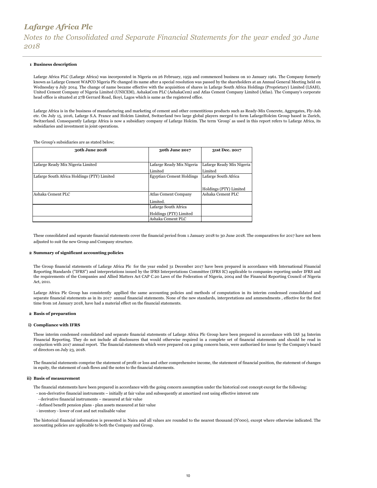#### **1 Business description**

Lafarge Africa PLC (Lafarge Africa) was incorporated in Nigeria on 26 February, 1959 and commenced business on 10 January 1961. The Company formerly known as Lafarge Cement WAPCO Nigeria Plc changed its name after a special resolution was passed by the shareholders at an Annual General Meeting held on Wednesday 9 July 2014. The change of name became effective with the acquisition of shares in Lafarge South Africa Holdings (Proprietary) Limited (LSAH), United Cement Company of Nigeria Limited (UNICEM), AshakaCem PLC (AshakaCem) and Atlas Cement Company Limited (Atlas). The Company's corporate head office is situated at 27B Gerrard Road, Ikoyi, Lagos which is same as the registered office.

Lafarge Africa is in the business of manufacturing and marketing of cement and other cementitious products such as Ready-Mix Concrete, Aggregates, Fly-Ash etc. On July 15, 2016, Lafarge S.A. France and Holcim Limited, Switzerland two large global players merged to form LafargeHolcim Group based in Zurich, Switzerland. Consequently Lafarge Africa is now a subsidiary company of Lafarge Holcim. The term 'Group' as used in this report refers to Lafarge Africa, its subsidiaries and investment in joint operations.

The Group's subsidiaries are as stated below;

| 30th June 2018                              | 30th June 2017                  | 31st Dec. 2017            |
|---------------------------------------------|---------------------------------|---------------------------|
|                                             |                                 |                           |
| Lafarge Ready Mix Nigeria Limited           | Lafarge Ready Mix Nigeria       | Lafarge Ready Mix Nigeria |
|                                             | Limited                         | Limited                   |
| Lafarge South Africa Holdings (PTY) Limited | <b>Egyptian Cement Holdings</b> | Lafarge South Africa      |
|                                             |                                 |                           |
|                                             |                                 | Holdings (PTY) Limited    |
| Ashaka Cement PLC                           | <b>Atlas Cement Company</b>     | Ashaka Cement PLC         |
|                                             | Limited.                        |                           |
|                                             | Lafarge South Africa            |                           |
|                                             | Holdings (PTY) Limited          |                           |
|                                             | Ashaka Cement PLC               |                           |

These consolidated and separate financial statements cover the financial period from 1 January 2018 to 30 June 2018. The comparatives for 2017 have not been adjusted to suit the new Group and Company structure.

#### **2 Summary of significant accounting policies**

The Group financial statements of Lafarge Africa Plc for the year ended 31 December 2017 have been prepared in accordance with International Financial Reporting Standards ("IFRS") and interpretations issued by the IFRS Interpretations Committee (IFRS IC) applicable to companies reporting under IFRS and the requirements of the Companies and Allied Matters Act CAP C.20 Laws of the Federation of Nigeria, 2004 and the Financial Reporting Council of Nigeria Act, 2011.

Lafarge Africa Plc Group has consistently appllied the same accounting policies and methods of computation in its interim condensed consolidated and separate financial statements as in its 2017 annual financial statements. None of the new standards, interpretations and ammendments , effective for the first time from 1st January 2018, have had a material effect on the financial statements.

#### **2 Basis of preparation**

#### **i) Compliance with IFRS**

These interim condensed consolidated and separate financial statements of Lafarge Africa Plc Group have been prepared in accordance with IAS 34 Interim Financial Reporting. They do not include all disclosures that would otherwise required in a complete set of financial statements and should be read in conjuction with 2017 annual report. The financial statements which were prepared on a going concern basis, were authorized for issue by the Company's board of directors on July 23, 2018.

The financial statements comprise the statement of profit or loss and other comprehensive income, the statement of financial position, the statement of changes in equity, the statement of cash flows and the notes to the financial statements.

#### **ii) Basis of measurement**

The financial statements have been prepared in accordance with the going concern assumption under the historical cost concept except for the following:

- non-derivative financial instruments initially at fair value and subsequently at amortized cost using effective interest rate
- derivative financial instruments measured at fair value
- defined benefit pension plans plan assets measured at fair value
- inventory lower of cost and net realisable value

The historical financial information is presented in Naira and all values are rounded to the nearest thousand (N'000), except where otherwise indicated. The accounting policies are applicable to both the Company and Group.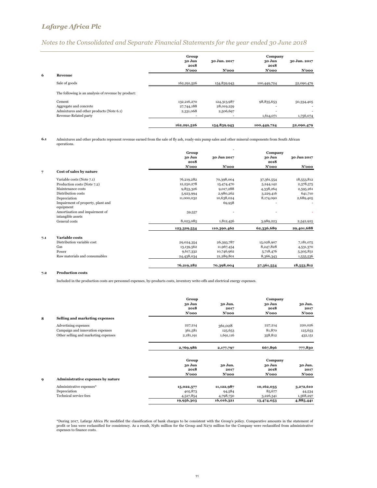## *Notes to the Consolidated and Separate Financial Statements for the year ended 30 June 2018*

|   |                                                     | Group          |              | Company        |              |
|---|-----------------------------------------------------|----------------|--------------|----------------|--------------|
|   |                                                     | 30 Jun<br>2018 | 30 Jun. 2017 | 30 Jun<br>2018 | 30 Jun. 2017 |
|   |                                                     | N'ooo          | N'ooo        | $N'$ 000       | $N'$ 000     |
| 6 | Revenue                                             |                |              |                |              |
|   | Sale of goods                                       | 162,291,526    | 154,839,943  | 100,449,724    | 52,090,479   |
|   | The following is an analysis of revenue by product: |                |              |                |              |
|   | Cement                                              | 132,216,270    | 124,313,987  | 98,835,653     | 50,334,405   |
|   | Aggregate and concrete                              | 27,744,188     | 28,019,259   |                |              |
|   | Admixtures and other products (Note 6.1)            | 2,331,068      | 2,506,697    |                |              |
|   | Revenue-Related party                               | ۰              | ۰            | 1,614,071      | 1,756,074    |
|   |                                                     | 162,291,526    | 154,839,943  | 100,449,724    | 52,090,479   |

#### **6.1** Admixtures and other products represent revenue earned from the sale of fly ash, ready-mix pump sales and other mineral components from South African operations.

|     |                                                     | Group          |             | Company        |             |
|-----|-----------------------------------------------------|----------------|-------------|----------------|-------------|
|     |                                                     | 30 Jun<br>2018 | 30 Jun 2017 | 30 Jun<br>2018 | 30 Jun 2017 |
|     |                                                     | N'ooo          | N'ooo       | $N'$ 000       | N'ooo       |
| 7   | Cost of sales by nature                             |                |             |                |             |
|     | Variable costs (Note 7.1)                           | 76,219,282     | 70,398,004  | 37,361,554     | 18,553,812  |
|     | Production costs (Note 7.2)                         | 12,250,278     | 15,474,470  | 5,244,142      | 2,378,575   |
|     | Maintenance costs                                   | 9,853,326      | 9,017,288   | 4,338,264      | 2,595,261   |
|     | Distribution costs                                  | 5,923,994      | 2,980,262   | 3,229,416      | 641,710     |
|     | Depreciation                                        | 11,000,032     | 10,638,024  | 8,174,090      | 2,689,405   |
|     | Impairment of property, plant and<br>equipment      |                | 69,958      |                |             |
|     | Amortisation and impairment of<br>intangible assets | 59,557         |             |                |             |
|     | General costs                                       | 8,023,085      | 1,812,456   | 3,989,223      | 2,542,925   |
|     |                                                     | 123,329,554    | 110,390,462 | 62,336,689     | 29,401,688  |
| 7.1 | Variable costs                                      |                |             |                |             |
|     | Distribution variable cost                          | 29,024,354     | 26,393,787  | 15,028,907     | 7,181,075   |
|     | Gas                                                 | 13,139,562     | 11,967,454  | 8,247,828      | 4,531,370   |
|     | Power                                               | 9,617,332      | 10,746,962  | 5,718,476      | 5,305,831   |
|     | Raw materials and consumables                       | 24,438,034     | 21,289,801  | 8,366,343      | 1,535,536   |
|     |                                                     | 76,219,282     | 70,398,004  | 37,361,554     | 18,553,812  |

### **7.2 Production costs**

Included in the production costs are personnel expenses, by-products costs, inventory write-offs and electrical energy expenses.

|   |                                      | Group                   |                          | Company                 |                             |
|---|--------------------------------------|-------------------------|--------------------------|-------------------------|-----------------------------|
|   |                                      | 30 Jun<br>2018<br>N'ooo | 30 Jun.<br>2017<br>N'ooo | 30 Jun<br>2018<br>N'ooo | 30 Jun.<br>2017<br>$N'$ 000 |
| 8 | Selling and marketing expenses       |                         |                          |                         |                             |
|   | Advertising expenses                 | 227,214                 | 361,028                  | 227,214                 | 220,026                     |
|   | Campaign and innovation expenses     | 361,581                 | 125,653                  | 81,870                  | 125,653                     |
|   | Other selling and marketing expenses | 2,181,191               | 1,691,116                | 358,812                 | 432,151                     |
|   |                                      | 2,769,986               | 2,177,797                | 667,896                 | 777,830                     |
|   |                                      | Group                   |                          | Company                 |                             |
|   |                                      | 30 Jun                  | 30 Jun.                  | 30 Jun                  | 30 Jun.                     |
|   |                                      | 2018                    | 2017                     | 2018                    | 2017                        |
|   |                                      | N'ooo                   | N'ooo                    | $N'$ 000                | N'ooo                       |
| 9 | Administrative expenses by nature    |                         |                          |                         |                             |
|   | Administrative expenses*             | 15,022,577              | 11,122,987               | 10,162,035              | 3,272,610                   |
|   | Depreciation                         | 405,873                 | 94,584                   | 85,677                  | 44,534                      |
|   | Technical service fees               | 4,527,854               | 4,798,750                | 3,226,341               | 1,568,297                   |
|   |                                      | 19,956,303              | 16,016,321               | 13,474,053              | 4,885,441                   |

\*During 2017, Lafarge Africa Plc modified the classification of bank charges to be consistent with the Group's policy. Comparative amounts in the statement of profit or loss were reclassified for consistency. As a result, N381 million for the Group and N272 million for the Company were reclassified from administrative expenses to finance costs.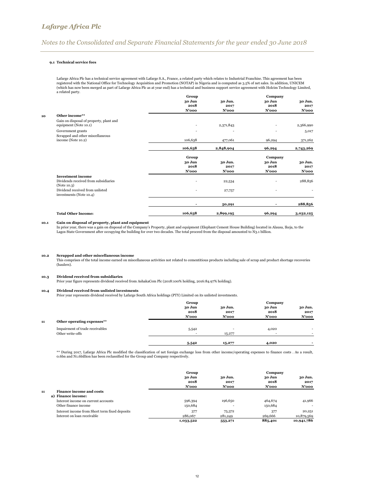### *Notes to the Consolidated and Separate Financial Statements for the year ended 30 June 2018*

### **9.1 Technical service fees**

Lafarge Africa Plc has a technical service agreement with Lafarge S.A., France, a related party which relates to Industrial Franchise. This agreement has been registered with the National Office for Technology Acquisition and Promotion (NOTAP) in Nigeria and is computed as 3.5% of net sales. In addition, UNICEM<br>(which has now been merged as part of Lafarge Africa Plc as at year a related party.

|                                         | 30 Jun                          | 30 Jun.                             | 30 Jun                        | 30 Jun.                              |
|-----------------------------------------|---------------------------------|-------------------------------------|-------------------------------|--------------------------------------|
|                                         |                                 | 2017                                |                               | 2017                                 |
|                                         |                                 | N'ooo                               | N'ooo                         | N'ooo                                |
| Other income**                          |                                 |                                     |                               |                                      |
| Gain on disposal of property, plant and |                                 |                                     |                               |                                      |
| equipment (Note 10.1)                   |                                 | 2,371,843                           |                               | 2,366,990                            |
| Government grants                       | ٠                               |                                     | ٠                             | 5,017                                |
| Scrapped and other miscellaneous        |                                 |                                     |                               |                                      |
| income (Note 10.2)                      | 106,638                         | 477,061                             | 96,294                        | 371,262                              |
|                                         | 106,638                         | 2,848,904                           | 96,294                        | 2,743,269                            |
|                                         |                                 |                                     |                               |                                      |
|                                         |                                 |                                     |                               | 30 Jun.                              |
|                                         | 2018                            | 2017                                | 2018                          | 2017                                 |
|                                         | $N'$ 000                        | N'ooo                               | $N'$ 000                      | N'ooo                                |
| <b>Investment income</b>                |                                 |                                     |                               |                                      |
| Dividends received from subsidiaries    |                                 | 22,534                              |                               | 288,856                              |
| (Note 10.3)                             |                                 |                                     |                               |                                      |
| investments (Note 10.4)                 | $\overline{\phantom{a}}$        | 27,757                              | ٠                             |                                      |
|                                         |                                 |                                     |                               |                                      |
|                                         |                                 | 50,291                              |                               | 288,856                              |
| <b>Total Other Income:</b>              | 106,638                         |                                     | 96,294                        | 3,032,125                            |
|                                         | Dividend received from unlisted | 2018<br>$N'$ 000<br>Group<br>30 Jun | Group<br>30 Jun.<br>2,899,195 | Company<br>2018<br>Company<br>30 Jun |

### **10.1 Gain on disposal of property, plant and equipment**

In prior year, there was a gain on disposal of the Company's Property, plant and equipment (Elephant Cement House Building) located in Alausa, Ikeja, to the<br>Lagos State Government after occupying the building for over two

#### **10.2 Scrapped and other miscellaneous income**

This comprises of the total income earned on miscellaneous activities not related to cementitious products including sale of scrap and product shortage recoveries (haulers).

#### **10.3 Dividend received from subsidiaries**

Prior year figure represents dividend received from AshakaCem Plc (2018:100% holding, 2016:84.97% holding).

### **10.4 Dividend received from unlisted investments**

Prior year represents dividend received by Lafarge South Africa holdings (PTY) Limited on its unlisted investments.

|    |                                                     | Group                   |                                    | Company                    |                             |
|----|-----------------------------------------------------|-------------------------|------------------------------------|----------------------------|-----------------------------|
|    |                                                     | 30 Jun<br>2018<br>N'ooo | 30 Jun.<br>2017<br>N'ooo           | 30 Jun<br>2018<br>$N'$ 000 | 30 Jun.<br>2017<br>$N'$ 000 |
| 11 | Other operating expenses**                          |                         |                                    |                            |                             |
|    | Impairment of trade receivables<br>Other write-offs | 5,542<br>۰.             | $\overline{\phantom{a}}$<br>15,277 | 4,020<br>٠.                | ۰                           |
|    |                                                     | 5,542                   | 15,277                             | 4,020                      |                             |

\*\* During 2017, Lafarge Africa Plc modified the classification of net foreign exchange loss from other income/operating expenses to finance costs . As a result,<br>0.6bn and N1.6billion has been reclassified for the Group and

|                                                             | Group     |          | Company |            |  |
|-------------------------------------------------------------|-----------|----------|---------|------------|--|
|                                                             | 30 Jun    | 30 Jun.  | 30 Jun  | 30 Jun.    |  |
|                                                             | 2018      | 2017     | 2018    | 2017       |  |
|                                                             | $N'$ 000  | $N'$ 000 | N'ooo   | $N'$ 000   |  |
| <b>Finance income and costs</b><br>11<br>a) Finance income: |           |          |         |            |  |
| Interest income on current accounts                         | 596,394   | 196,650  | 464,674 | 41,966     |  |
| Other finance income                                        | 150,684   |          | 150,684 | ۰.         |  |
| Interest income from Short term fixed deposits              | 377       | 75,372   | 377     | 20,251     |  |
| Interest on loan receivable                                 | 286,067   | 281,249  | 269,666 | 10,879,569 |  |
|                                                             | 1,033,522 | 553,271  | 885,401 | 10,941,786 |  |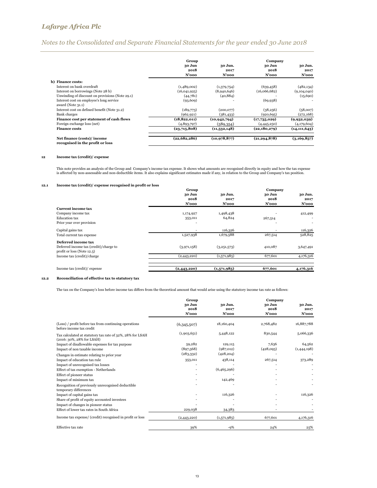## *Notes to the Consolidated and Separate Financial Statements for the year ended 30 June 2018*

|                                                                | Group                      |                          | Company                    |                          |
|----------------------------------------------------------------|----------------------------|--------------------------|----------------------------|--------------------------|
|                                                                | 30 Jun<br>2018<br>$N'$ 000 | 30 Jun.<br>2017<br>N'ooo | 30 Jun<br>2018<br>$N'$ 000 | 30 Jun.<br>2017<br>N'ooo |
| b) Finance costs:                                              |                            |                          |                            |                          |
| Interest on bank overdraft                                     | (1,489,002)                | (1,379,754)              | (639, 458)                 | (482, 134)               |
| Interest on borrowings (Note 28 b)                             | (16,041,925)               | (8,940,646)              | (16,066,682)               | (9,104,040)              |
| Unwinding of discount on provisions (Note 29.1)                | (44,781)                   | (40, 884)                |                            | (15,690)                 |
| Interest cost on employee's long service<br>award (Note 31.1)  | (93,609)                   |                          | (69, 938)                  |                          |
| Interest cost on defined benefit (Note 31.2)                   | (189,773)                  | (200,077)                | (38,256)                   | (58,007)                 |
| <b>Bank</b> charges                                            | (962, 921)                 | (381, 433)               | (920, 695)                 | (272, 168)               |
| Finance cost per statement of cash flows                       | (18, 822, 011)             | (10, 942, 794)           | (17,735,029)               | (9,932,039)              |
| Foreign exchange loss (net)                                    | (4,893,797)                | (589, 354)               | (4,445,250)                | (4,179,604)              |
| <b>Finance costs</b>                                           | (23,715,808)               | (11,532,148)             | (22, 180, 279)             | (14, 111, 643)           |
| Net finance (costs)/income<br>recognised in the profit or loss | (22,682,286)               | (10, 978, 877)           | (21, 294, 878)             | (3,169,857)              |

### **12 Income tax (credit)/ expense**

This note provides an analysis of the Group and Company's income tax expense. It shows what amounts are recognised directly in equity and how the tax expense<br>is affected by non-assessable and non-deductible items. It also

#### **12.1 Income tax (credit)/ expense recognised in profit or loss**

|                                                                                                | Group                   |                          | Company                    |                             |
|------------------------------------------------------------------------------------------------|-------------------------|--------------------------|----------------------------|-----------------------------|
|                                                                                                | 30 Jun<br>2018<br>N'ooo | 30 Jun.<br>2017<br>N'ooo | 30 Jun<br>2018<br>$N'$ 000 | 30 Jun.<br>2017<br>$N'$ 000 |
| <b>Current income tax</b>                                                                      |                         |                          |                            |                             |
| Company income tax                                                                             | 1,174,927               | 1,498,438                |                            | 412,499                     |
| <b>Education tax</b>                                                                           | 353,011                 | 64,824                   | 267,514                    | $\overline{\phantom{a}}$    |
| Prior year over provision                                                                      |                         |                          |                            |                             |
| Capital gains tax                                                                              |                         | 116,326                  |                            | 116,326                     |
| Total current tax expense                                                                      | 1,527,938               | 1,679,588                | 267,514                    | 528,825                     |
| Deferred income tax<br>Deferred income tax (credit)/charge to<br>profit or loss (Note $12.5$ ) | (3,971,158)             | (3,251,573)              | 410,087                    | 3,647,491                   |
| Income tax (credit)/charge                                                                     | (2,443,220)             | (1,571,985)              | 677,601                    | 4,176,316                   |
| Income tax (credit)/ expense                                                                   | (2,443,220)             | (1,571,985)              | 677,601                    | 4,176,316                   |

### **12.2 Reconciliation of effective tax to statutory tax**

The tax on the Company's loss before income tax differs from the theoretical amount that would arise using the statutory income tax rate as follows:

|                                                                                           | Group       |             | Company   |             |
|-------------------------------------------------------------------------------------------|-------------|-------------|-----------|-------------|
|                                                                                           | 30 Jun      | 30 Jun.     | 30 Jun    | 30 Jun.     |
|                                                                                           | 2018        | 2017        | 2018      | 2017        |
|                                                                                           | N'ooo       | N'ooo       | N'ooo     | N'ooo       |
| (Loss) / profit before tax from continuing operations<br>before income tax credit         | (6,345,507) | 18,160,404  | 2,768,482 | 16,887,788  |
| Tax calculated at statutory tax rate of 32%, 28% for LSAH<br>$(2016:30\%, 28\%$ for LSAH) | (1,903,651) | 5,448,122   | 830,544   | 5,066,336   |
| Impact of disallowable expenses for tax purpose                                           | 59,282      | 129,115     | 7,636     | 64,562      |
| Impact of non taxable income                                                              | (897,568)   | (987,012)   | (428,093) | (1,444,198) |
| Changes in estimate relating to prior year                                                | (283, 332)  | (428, 204)  |           |             |
| Impact of education tax rule                                                              | 353,011     | 438,114     | 267,514   | 373,289     |
| Impact of unrecognised tax losses                                                         |             |             |           |             |
| Effect of tax exemption - Netherlands                                                     |             | (6,465,296) |           |             |
| Effect of pioneer status                                                                  |             |             |           |             |
| Impact of minimum tax                                                                     |             | 142,469     |           |             |
| Recognition of previously unrecognised deductible<br>temporary differences                |             |             |           |             |
| Impact of capital gains tax                                                               |             | 116,326     |           | 116,326     |
| Share of profit of equity accounted investees                                             |             |             |           |             |
| Impact of changes in pioneer status                                                       |             |             |           |             |
| Effect of lower tax rates in South Africa                                                 | 229,038     | 34,383      |           |             |
| Income tax expense/ (credit) recognised in profit or loss                                 | (2,443,220) | (1,571,985) | 677,601   | 4,176,316   |
| Effective tax rate                                                                        | 39%         | $-9%$       | 24%       | 25%         |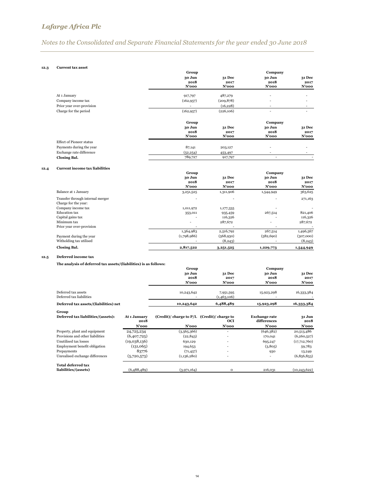# *Notes to the Consolidated and Separate Financial Statements for the year ended 30 June 2018*

### **12.3 Current tax asset**

|                                 | Group                   |                         | Company                    |                            |
|---------------------------------|-------------------------|-------------------------|----------------------------|----------------------------|
|                                 | 30 Jun<br>2018<br>N'ooo | 31 Dec<br>2017<br>N'ooo | 30 Jun<br>2018<br>$N'$ 000 | 31 Dec<br>2017<br>$N'$ 000 |
| At 1 January                    | 917,797                 | 487,279                 | ٠                          | ۰                          |
| Company income tax              | (162, 957)              | (209, 878)              | ٠                          |                            |
| Prior year over-provision       |                         | (16, 228)               | ۰                          |                            |
| Charge for the period           | (162, 957)              | (226, 106)              | ٠                          |                            |
|                                 | Group                   |                         | Company                    |                            |
|                                 | 30 Jun                  | <b>31 Dec</b>           | 30 Jun                     | <b>31 Dec</b>              |
|                                 | 2018<br>N'ooo           | 2017<br>N'ooo           | 2018<br>N'ooo              | 2017<br>N'ooo              |
| <b>Effect of Pioneer status</b> |                         |                         |                            |                            |
| Payments during the year        | 87,141                  | 203,127                 | ۰                          |                            |
| Exchange rate difference        | (52, 254)               | 453,497                 | ۰                          |                            |
| Closing Bal.                    | 789,727                 | 917,797                 | $\overline{\phantom{a}}$   |                            |
|                                 |                         |                         |                            |                            |

### **12.4 Current income tax liabilities**

|                                  | Group          | Company        |                |                       |
|----------------------------------|----------------|----------------|----------------|-----------------------|
|                                  | 30 Jun<br>2018 | 31 Dec<br>2017 | 30 Jun<br>2018 | <b>31 Dec</b><br>2017 |
|                                  | $N'$ 000       | N'ooo          | $N'$ 000       | N'ooo                 |
| Balance at 1 January             | 3,251,525      | 1,311,906      | 1,544,949      | 363,625               |
| Transfer through internal merger |                |                |                | 271,163               |
| Charge for the year:             |                |                |                |                       |
| Company income tax               | 1,011,972      | 1,177,335      |                |                       |
| <b>Education tax</b>             | 353,011        | 935,459        | 267,514        | 821,406               |
| Capital gains tax                |                | 116,326        |                | 116,326               |
| Minimum tax                      |                | 287,672        | ۰              | 287,672               |
| Prior year over-provision        |                |                |                |                       |
|                                  | 1,364,983      | 2,516,792      | 267,514        | 1,496,567             |
| Payment during the year          | (1,798,986)    | (568,930)      | (582, 690)     | (307,000)             |
| Witholding tax utilised          |                | (8,243)        |                | (8,243)               |
| Closing Bal.                     | 2,817,522      | 3,251,525      | 1,229,773      | 1,544,949             |

### **12.5 Deferred income tax**

**The analysis of deferred tax assets/(liabilities) is as follows:**

|                                                 | Group                      |                                | Company                    |                                   |  |
|-------------------------------------------------|----------------------------|--------------------------------|----------------------------|-----------------------------------|--|
|                                                 | 30 Jun<br>2018<br>$N'$ 000 | <b>31 Dec</b><br>2017<br>N'ooo | 30 Jun<br>2018<br>$N'$ 000 | <b>31 Dec</b><br>2017<br>$N'$ 000 |  |
| Deferred tax assets<br>Deferred tax liabilities | 10,243,642                 | 7,951,595<br>(1,463,106)       | 15,923,298                 | 16,333,384                        |  |
| Deferred tax assets/(liabilities) net           | 10,243,642                 | 6,488,489                      | 15,923,298                 | 16,333,384                        |  |

| Group<br>Deferred tax liabilities/(assets):       | At 1 January<br>2018 | $(Credit)/charge to P/L$ $(Credit)/charge to$ | <b>OCI</b> | <b>Exchange rate</b><br>differences | <b>31 Jun</b><br>2018 |
|---------------------------------------------------|----------------------|-----------------------------------------------|------------|-------------------------------------|-----------------------|
|                                                   | N'ooo                | $N'$ 000                                      | N'ooo      | $N'$ 000                            | $N'$ 000              |
| Property, plant and equipment                     | 24,725,234           | (3,565,366)                                   |            | (646,382)                           | 20,513,486            |
| Provisions and other liabilities                  | (6,407,725)          | (22, 843)                                     |            | 170,041                             | (6, 260, 527)         |
| Unutilised tax losses                             | (19,038,136)         | 630,129                                       |            | 695,247                             | (17,712,760)          |
| Employment benefit obligation                     | (131,065)            | 194,653                                       |            | (3,805)                             | 59,783                |
| Prepayments                                       | 83776                | (71, 457)                                     |            | 930                                 | 13,249                |
| Unrealised exchange differences                   | (5,720,573)          | (1,136,280)                                   |            |                                     | (6,856,853)           |
| <b>Total deferred tax</b><br>liabilities/(assets) | (6,488,489)          | (3,971,164)                                   | $\Omega$   | 216,031                             | (10, 243, 622)        |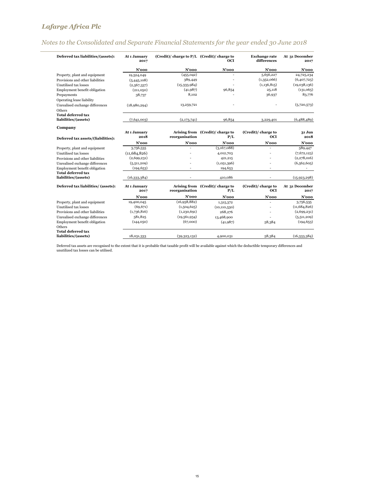# *Notes to the Consolidated and Separate Financial Statements for the year ended 30 June 2018*

| Deferred tax liabilities/(assets):  | At 1 January<br>2017 | $(Credit)/charge to P/L$ $(Credit)/charge to$ | <b>OCI</b>                              | <b>Exchange rate</b><br>differences | At 31 December<br>2017 |
|-------------------------------------|----------------------|-----------------------------------------------|-----------------------------------------|-------------------------------------|------------------------|
|                                     | $N'$ 000             | $N'$ 000                                      | N'ooo                                   | $N'$ 000                            | $N'$ 000               |
| Property, plant and equipment       | 19,524,049           | (455, 042)                                    |                                         | 5,656,227                           | 24,725,234             |
| Provisions and other liabilities    | (5,445,108)          | 389,449                                       |                                         | (1,352,066)                         | (6,407,725)            |
| Unutilised tax losses               | (2,567,337)          | (15, 333, 984)                                |                                         | (1,136,815)                         | (19,038,136)           |
| Employment benefit obligation       | (211,050)            | (41, 987)                                     | 96,854                                  | 25,118                              | (131,065)              |
| Prepayments                         | 38,737               | 8,102                                         |                                         | 36,937                              | 83,776                 |
| Operating lease liability           |                      |                                               |                                         |                                     |                        |
| Unrealised exchange differences     | (18,980,294)         | 13,259,721                                    |                                         |                                     | (5,720,573)            |
| Others                              |                      |                                               |                                         |                                     |                        |
| <b>Total deferred tax</b>           |                      |                                               |                                         |                                     |                        |
| liabilities/(assets)                | (7,641,003)          | (2,173,741)                                   | 96,854                                  | 3,229,401                           | (6,488,489)            |
| Company                             |                      |                                               |                                         |                                     |                        |
| Deferred tax assets/(liabilities):  | At 1 January<br>2018 | reorganisation                                | Arising from (Credit)/ charge to<br>P/L | (Credit)/ charge to<br><b>OCI</b>   | 31 Jun<br>2018         |
|                                     | N'ooo                | $N'$ 000                                      | $N'$ 000                                | $N'$ 000                            | $N'$ 000               |
| Property, plant and equipment       | 3,756,535            |                                               | (3,167,088)                             | ٠                                   | 589,447                |
| Unutilised tax losses               | (11,684,826)         |                                               | 4,012,703                               |                                     | (7,672,123)            |
| Provisions and other liabilities    | (2,699,231)          |                                               | 421,215                                 |                                     | (2,278,016)            |
| Unrealised exchange differences     | (5,511,209)          |                                               | (1,051,396)                             |                                     | (6,562,605)            |
| Employment benefit obligation       | (194, 653)           |                                               | 194,653                                 | ×                                   | ä,                     |
| <b>Total deferred tax</b>           |                      |                                               |                                         |                                     |                        |
| liabilities/(assets)                | (16, 333, 384)       |                                               | 410,086                                 |                                     | (15, 923, 298)         |
| Deferred tax liabilities/ (assets): | At 1 January<br>2017 | reorganisation                                | Arising from (Credit)/ charge to<br>P/L | (Credit)/ charge to<br>OCI          | At 31 December<br>2017 |
|                                     | $N'$ 000             | $N'$ 000                                      | $N'$ 000                                | $N'$ 000                            | N'ooo                  |
| Property, plant and equipment       | 19,400,045           | (16,958,882)                                  | 1,315,372                               |                                     | 3,756,535              |
| Unutilised tax losses               | (69, 671)            | (1,504,625)                                   | (10, 110, 530)                          |                                     | (11, 684, 826)         |
| Provisions and other liabilities    | (1,736,816)          | (1,230,691)                                   | 268,276                                 |                                     | (2,699,231)            |
| Unrealised exchange differences     | 581,825              | (19, 561, 934)                                | 13,468,900                              |                                     | (5,511,209)            |
| Employment benefit obligation       | (144, 050)           | (67,000)                                      | (41,987)                                | 58,384                              | (194, 653)             |
| Others                              |                      |                                               |                                         |                                     |                        |
| <b>Total deferred tax</b>           |                      |                                               |                                         |                                     |                        |
| liabilities/(assets)                | 18,031,333           | (39,323,132)                                  | 4,900,031                               | 58,384                              | (16,333,384)           |

Deferred tax assets are recognised to the extent that it is probable that taxable profit will be available against which the deductible temporary differences and unutilized tax losses can be utilised.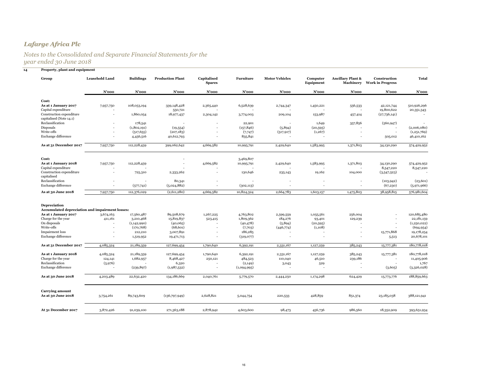### *Notes to the Consolidated and Separate Financial Statements for the year ended 30 June 2018*

| Group                                                           | <b>Leasehold Land</b>    | <b>Buildings</b> | <b>Production Plant</b> | Capitalised<br><b>Spares</b> | Furniture   | <b>Motor Vehicles</b> | Computer<br>Equipment    | Ancillary Plant &        | Construction<br><b>Machinery</b> Work in Progress | <b>Total</b>              |
|-----------------------------------------------------------------|--------------------------|------------------|-------------------------|------------------------------|-------------|-----------------------|--------------------------|--------------------------|---------------------------------------------------|---------------------------|
|                                                                 | N'ooo                    | N'ooo            | $N'$ 000                | N'ooo                        | N'ooo       | N'ooo                 | N'ooo                    | N'ooo                    | N'ooo                                             | N'ooo                     |
| Cost:                                                           |                          |                  |                         |                              |             |                       |                          |                          |                                                   |                           |
| As at 1 January 2017<br>Capital expenditure                     | 7,957,750                | 108,053,194      | 339,148,428<br>550,721  | 2,365,440                    | 6,528,639   | 2,744,347             | 1,450,221                | 556,533                  | 42,121,744<br>19,800,622                          | 510,926,296<br>20,351,343 |
| Construction expenditure<br>capitalised (Note 14.1)             |                          | 1,860,054        | 18,977,437              | 2,304,142                    | 3,774,003   | 209,104               | 153,987                  | 457,414                  | (27,736,141)                                      |                           |
| Reclassification                                                |                          | 178,541          |                         |                              | 22,901      |                       | 1,649                    | 357,856                  | (560, 947)                                        |                           |
| Disposals                                                       |                          | (1,802,191)      | (19, 554)               |                              | (157, 846)  | (5,894)               | (20, 595)                |                          |                                                   | (2,006,080)               |
| Write-offs                                                      |                          | (517, 655)       | (207, 183)              |                              | (7,747)     | (517, 917)            | (1, 267)                 | $\overline{a}$           |                                                   | (1,251,769)               |
| Exchange difference                                             | $\overline{\phantom{a}}$ | 4,456,516        | 40,612,793              |                              | 835,841     |                       |                          |                          | 505,012                                           | 46,410,162                |
| As at 31 December 2017                                          | 7,957,750                | 112,228,459      | 399,062,642             | 4,669,582                    | 10,995,791  | 2,429,640             | 1,583,995                | 1,371,803                | 34,130,290                                        | 574,429,952               |
| Cost:                                                           |                          |                  |                         |                              | 3,469,807   |                       |                          |                          |                                                   |                           |
| As at 1 January 2018                                            | 7,957,750                | 112,228,459      |                         | 4,669,582                    | 10,995,791  | 2,429,640             | 1,583,995                | 1,371,803                | 34,130,290                                        | 574,429,952               |
| Capital expenditure                                             |                          |                  |                         |                              |             |                       |                          |                          | 8,547,220                                         | 8,547,220                 |
| Construction expenditure<br>capitalised                         | $\overline{\phantom{a}}$ | 725,310          | 2,333,262               |                              | 130,646     | 235,143               | 19,162                   | 104,000                  | (3,547,523)                                       |                           |
| Reclassification                                                | $\overline{\phantom{a}}$ |                  | 80,341                  |                              |             |                       | $\overline{\phantom{a}}$ | $\overline{\phantom{a}}$ | (103, 942)                                        | (23, 601)                 |
| Exchange difference                                             | $\overline{\phantom{a}}$ | (577,741)        | (5,024,882)             |                              | (302, 113)  |                       |                          | ä,                       | (67,230)                                          | (5,971,966)               |
| As at 30 June 2018                                              | 7,957,750                | 112,376,029      | (2,611,280)             | 4,669,582                    | 10,824,324  | 2,664,783             | 1,603,157                | 1,475,803                | 38,958,815                                        | 576,981,604               |
| Depreciation<br>Accumulated depreciation and impairment losses: |                          |                  |                         |                              |             |                       |                          |                          |                                                   |                           |
| As at 1 January 2017                                            | 3,674,163                | 17,560,487       | 89,508,679              | 1,267,225                    | 4,763,802   | 2,599,559             | 1,055,561                | 256,004                  |                                                   | 120,685,480               |
| Charge for the year                                             | 411,161                  | 3,210,468        | 15,819,837              | 523,415                      | 1,809,362   | 184,276               | 93,401                   | 129,239                  |                                                   | 22,181,159                |
| On disposals                                                    |                          | (1, 142, 990)    | (40,065)                |                              | (40, 478)   | (5,894)               | (20, 595)                |                          |                                                   | (1,250,022)               |
| Write-offs                                                      |                          | (170, 768)       | (68, 601)               |                              | (7,703)     | (446,774)             | (1,108)                  |                          |                                                   | (694, 954)                |
| <b>Impairment</b> loss                                          |                          | 212,210          | 3,007,891               |                              | 186,285     |                       |                          |                          | 15,771,868                                        | 19,178,254                |
| Exchange difference                                             | $\overline{\phantom{a}}$ | 1,519,952        | 19,471,713              |                              | (319,077)   |                       | $\overline{\phantom{a}}$ | -                        | 5,513                                             | 20,678,101                |
| As at 31 December 2017                                          | 4,085,324                | 21,189,359       | 127,699,454             | 1,790,640                    | 6,392,191   | 2,331,167             | 1,127,259                | 385,243                  | 15,777,381                                        | 180,778,018               |
| As at 1 January 2018                                            | 4,085,324                | 21,189,359       | 127,699,454             | 1,790,640                    | 6,392,191   | 2,331,167             | 1,127,259                | 385,243                  | 15,777,381                                        | 180,778,018               |
| Charge for the year                                             | 124,141                  | 1,682,957        | 8,468,427               | 250,121                      | 484,523     | 110,040               | 46,510                   | 239,186                  |                                                   | 11,405,906                |
| Reclassification                                                | (5,976)                  |                  | 6,320                   |                              | (2,149)     | 3,043                 | 529                      |                          |                                                   | 1,767                     |
| Exchange difference                                             |                          | (239, 897)       | (1,987,532)             | $\overline{\phantom{a}}$     | (1,094,995) |                       | $\overline{\phantom{a}}$ | $\overline{a}$           | (3,605)                                           | (3,326,028)               |
| As at 30 June 2018                                              | 4,203,489                | 22,632,420       | 134,186,669             | 2,040,761                    | 5,779,570   | 2,444,250             | 1,174,298                | 624,429                  | 15,773,776                                        | 188,859,663               |
| <b>Carrying amount</b><br>As at 30 June 2018                    | 3,754,261                | 89,743,609       | (136,797,949)           | 2,628,821                    | 5,044,754   | 220,533               | 428,859                  | 851,374                  | 23,185,038                                        | 388,121,941               |
|                                                                 |                          |                  |                         |                              |             |                       |                          |                          |                                                   |                           |
| At 31 December 2017                                             | 3,872,426                | 91,039,100       | 271,363,188             | 2,878,942                    | 4,603,600   | 98,473                | 456,736                  | 986,560                  | 18,352,909                                        | 393,651,934               |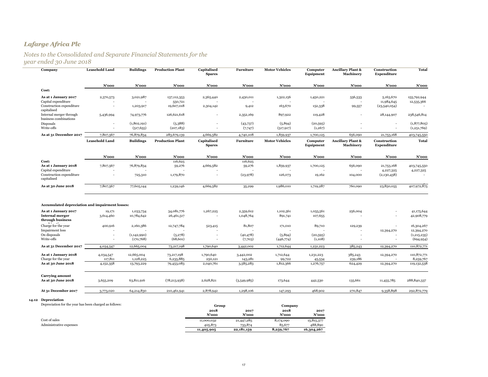### *Notes to the Consolidated and Separate Financial Statements for the year ended 30 June 2018*

| Company                                                | <b>Leasehold Land</b> | <b>Buildings</b>          | <b>Production Plant</b>  | Capitalised<br><b>Spares</b>               | Furniture              | <b>Motor Vehicles</b> | Computer<br>Equipment | <b>Ancillary Plant &amp;</b><br>Machinery        | Construction<br>Expenditure                          | <b>Total</b>                |
|--------------------------------------------------------|-----------------------|---------------------------|--------------------------|--------------------------------------------|------------------------|-----------------------|-----------------------|--------------------------------------------------|------------------------------------------------------|-----------------------------|
|                                                        | N'ooo                 | N'ooo                     | N'ooo                    | N'ooo                                      | $N'$ 000               | $N'$ 000              | N'ooo                 | N'ooo                                            | $N'$ 000                                             | N'ooo                       |
| Cost:                                                  |                       |                           |                          |                                            |                        |                       |                       |                                                  |                                                      |                             |
| As at 1 January 2017<br>Capital expenditure            | 2,370,573             | 3,021,987                 | 137, 112, 353<br>550,721 | 2,365,440                                  | 2,430,011              | 1,322,156             | 1,450,221             | 556,533                                          | 5,163,670<br>11,984,645                              | 155,792,944<br>12,535,366   |
| Construction expenditure<br>capitalised                |                       | 1,203,917                 | 19,607,018               | 2,304,142                                  | 9,412                  | 163,670               | 152,338               | 99,557                                           | (23,540,054)                                         |                             |
| Internal merger through<br>business combinations       | 5,436,994             | 74,973,776                | 126,621,618              |                                            | 2,352,169              | 897,922               | 119,428               |                                                  | 28,144,907                                           | 238,546,814                 |
| Disposals<br>Write-offs                                |                       | (1,802,191)<br>(517, 655) | (5,388)<br>(207, 183)    | $\overline{\phantom{a}}$<br>$\overline{a}$ | (43,737)<br>(7,747)    | (5,894)<br>(517, 917) | (20, 595)<br>(1,267)  |                                                  | $\overline{\phantom{a}}$<br>$\overline{\phantom{a}}$ | (1,877,805)<br>(1,251,769)  |
| As at 31 December 2017                                 | 7,807,567             | 76,879,834                | 283,679,139              | 4,669,582                                  | 4,740,108              | 1,859,937             | 1,700,125             | 656,090                                          | 21,753,168                                           | 403,745,550                 |
|                                                        | <b>Leasehold Land</b> | <b>Buildings</b>          | <b>Production Plant</b>  | Capitalised<br><b>Spares</b>               | Furniture              | <b>Motor Vehicles</b> | Computer<br>Equipment | <b>Ancillary Plant &amp;</b><br><b>Machinery</b> | Construction<br>Expenditure                          | <b>Total</b>                |
|                                                        | $N'$ 000              | N'ooo                     | N'ooo                    | N'ooo                                      | $N'$ 000               | N'ooo                 | N'ooo                 | N'ooo                                            | $N'$ 000                                             | N'ooo                       |
| Cost:<br>As at 1 January 2018                          |                       |                           | 116,625                  |                                            | 116,625                |                       |                       |                                                  |                                                      |                             |
| Capital expenditure                                    | 7,807,567             | 76,879,834                | 59,276                   | 4,669,582                                  | 59,276                 | 1,859,937             | 1,700,125             | 656,090                                          | 21,753,168<br>4,227,325                              | 403,745,550<br>4,227,325    |
| Construction expenditure<br>capitalised                |                       | 725,310                   | 1,179,870                |                                            | (23, 978)              | 126,073               | 19,162                | 104,000                                          | (2,130,438)                                          |                             |
| As at 30 June 2018                                     | 7,807,567             | 77,605,144                | 1,239,146                | 4,669,582                                  | 35,299                 | 1,986,010             | 1,719,287             | 760,090                                          | 23,850,055                                           | 407,972,875                 |
| <b>Accumulated depreciation and impairment losses:</b> |                       |                           |                          |                                            |                        |                       |                       |                                                  |                                                      |                             |
| As at 1 January 2017<br><b>Internal merger</b>         | 19,171<br>3,614,460   | 1,033,734<br>10,784,642   | 34,081,776<br>26,461,517 | 1,267,225                                  | 2,359,612<br>1,048,764 | 1,102,561<br>891,741  | 1,055,561<br>107,655  | 256,004                                          |                                                      | 41,175,644<br>42,908,779    |
| through business                                       |                       |                           |                          |                                            |                        |                       |                       |                                                  |                                                      |                             |
| Charge for the year                                    | 400,916               | 2,160,386                 | 12,747,784               | 523,415                                    | 81,807                 | 171,010               | 89,710                | 129,239                                          |                                                      | 16,304,267                  |
| <b>Impairment</b> loss<br>On disposals                 |                       | (1,142,990)               | (5,278)                  |                                            | (40, 478)              | (5,894)               | (20, 595)             |                                                  | 12,394,270                                           | 12,394,270<br>(1, 215, 235) |
| Write-offs                                             |                       | (170, 768)                | (68, 601)                |                                            | (7,703)                | (446,774)             | (1,108)               |                                                  |                                                      | (694, 954)                  |
| As at 31 December 2017                                 | 4,034,547             | 12,665,004                | 73,217,198               | 1,790,640                                  | 3,442,002              | 1,712,644             | 1,231,223             | 385,243                                          | 12,394,270                                           | 110,872,771                 |
| As at 1 January 2018                                   | 4,034,547             | 12,665,004                | 73,217,198               | 1,790,640                                  | 3,442,002              | 1,712,644             | 1,231,223             | 385,243                                          | 12,394,270                                           | 110,872,771                 |
| Charge for the year                                    | 117,811               | 1,128,225                 | 6,235,885                | 250,121                                    | 143,281                | 99,722                | 45,534                | 239,186                                          |                                                      | 8,259,767                   |
| As at 30 June 2018                                     | 4,152,358             | 13,793,229                | 79,453,083               | 2,040,761                                  | 3,585,283              | 1,812,366             | 1,276,757             | 624,429                                          | 12,394,270                                           | 119,132,538                 |
| <b>Carrying amount</b><br>As at 30 June 2018           | 3,655,209             | 63,811,916                | (78, 213, 938)           | 2,628,821                                  | (3,549,985)            | 173,644               | 442,530               | 135,661                                          | 11,455,785                                           | 288,840,337                 |
| At 31 December 2017                                    | 3,773,020             | 64,214,830                | 210,461,941              | 2,878,942                                  | 1,298,106              | 147,293               | 468,902               | 270,847                                          | 9,358,898                                            | 292,872,779                 |
|                                                        |                       |                           |                          |                                            |                        |                       |                       |                                                  |                                                      |                             |

### **14.12 Depreciation**

Depreciation for the year has been charged as follows: **Group Company**

|               |                         | . | utuu          |               | Company       |               |
|---------------|-------------------------|---|---------------|---------------|---------------|---------------|
|               |                         |   | 2018<br>N'ooo | 2017<br>N'ooo | 2018<br>N'ooo | 2017<br>N'ooo |
| Cost of sales |                         |   |               |               |               |               |
|               |                         |   | 11,000,032    | 21,447,285    | 8,174,090     | 15,815,377    |
|               | Administrative expenses |   | 405,873       | 733,874       | 85,677        | 488,890       |
|               |                         |   | 11,405,905    | 22,181,159    | 8,259,767     | 16,304,267    |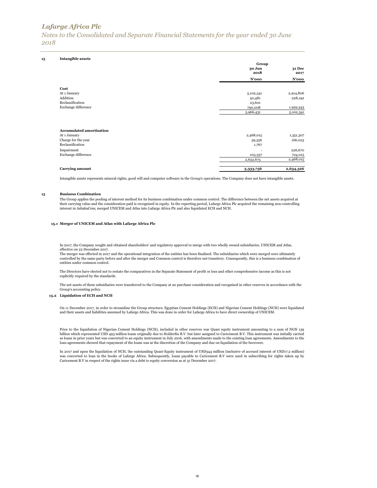*Notes to the Consolidated and Separate Financial Statements for the year ended 30 June 2018*

| 15 | <b>Intangible assets</b> |
|----|--------------------------|
|    |                          |

|                                                                                                          | Group<br>30 Jun<br>2018<br>$N'$ 000 | 31 Dec<br>2017<br>$N'$ 000      |
|----------------------------------------------------------------------------------------------------------|-------------------------------------|---------------------------------|
|                                                                                                          |                                     |                                 |
| Cost                                                                                                     |                                     |                                 |
| At 1 January                                                                                             | 5,102,341                           | 2,914,806                       |
| Addition                                                                                                 | 50,481                              | 228,192                         |
| Reclassification                                                                                         | 23,601                              |                                 |
| Exchange difference                                                                                      | 790,008                             | 1,959,343                       |
|                                                                                                          | 5,966,431                           | 5,102,341                       |
| <b>Accumulated amortisation</b><br>At 1 January<br>Charge for the year<br>Reclassification<br>Impairment | 2,468,015<br>59,556<br>1,767        | 1,351,307<br>166,023<br>226,670 |
|                                                                                                          |                                     |                                 |
| Exchange difference                                                                                      | 103,337                             | 724,015                         |
|                                                                                                          | 2,632,675                           | 2,468,015                       |
| <b>Carrying amount</b>                                                                                   | 3,333,756                           | 2,634,326                       |

Intangible assets represents mineral rights, good will and computer software in the Group's operations. The Company does not have intangible assets.

#### **15 Business Combination**

The Group applies the pooling of interest method for its business combination under common control. The difference between the net assets acquired at their carrying value and the consideration paid is recognised in equity. In the reporting period, Lafarge Africa Plc acquired the remaining non-controlling interest in AshakaCem; merged UNICEM and Atlas into Lafarge Africa Plc and also liquidated ECH and NCH.

### **15.1 Merger of UNICEM and Atlas with Lafarge Africa Plc**

In 2017, the Company sought and obtained shareholders' and regulatory approval to merge with two wholly owned subsidiaries, UNICEM and Atlas, effective on 22 December 2017.

The merger was effected in 2017 and the operational integration of the entities has been finalised. The subsidiaries which were merged were ultimately controlled by the same party before and after the merger and Common control is therefore not transitory. Consequently, this is a business combination of entities under common control.

The Directors have elected not to restate the comparatives in the Separate Statement of profit or loss and other comprehensive income as this is not explicitly required by the standards.

The net assets of these subsidiaries were transferred to the Company at no purchase consideration and recognised in other reserves in accordance with the Group's accounting policy.

#### **15.2 Liquidation of ECH and NCH**

On 11 December 2017, in order to streamline the Group structure, Egyptian Cement Holdings (ECH) and Nigerian Cement Holdings (NCH) were liquidated and their assets and liabilities assumed by Lafarge Africa. This was done in order for Lafarge Africa to have direct ownership of UNICEM.

Prior to the liquidation of Nigerian Cement Holdings (NCH), included in other reserves was Quasi equity instrument amounting to a sum of NGN 139<br>billion which represented USD 493 million loans originally due to Holderfin B as loans in prior years but was converted to an equity instrument in July 2016, with amendments made to the existing loan agreements. Amendments to the loan agreements showed that repayment of the loans was at the discretion of the Company and due on liquidation of the borrower.

In 2017 and upon the liquidation of NCH, the outstanding Quasi-Equity instrument of USD344 million (inclusive of accrued interest of USD17.2 million) was converted to loan in the books of Lafarge Africa. Subsequently, loans payable to Caricement B.V were used in subscribing for rights taken up by Caricement B.V in respect of the rights issue via a debt to equity conversion as at 31 December 2017.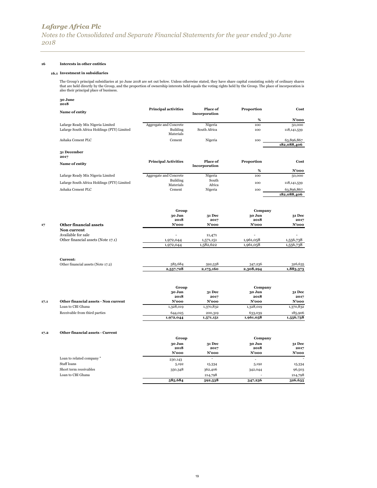### **16 Interests in other entities**

#### **16.1 Investment in subsidiaries**

The Group's principal subsidiaries at 30 June 2018 are set out below. Unless otherwise stated, they have share capital consisting solely of ordinary shares<br>that are held directly by the Group, and the proportion of ownersh

### **30 June**

|      | 2018                                                                             |                                                 |                           |                      |                           |
|------|----------------------------------------------------------------------------------|-------------------------------------------------|---------------------------|----------------------|---------------------------|
|      | Name of entity                                                                   | <b>Principal activities</b>                     | Place of<br>Incorporation | Proportion           | Cost                      |
|      |                                                                                  |                                                 |                           | %                    | N'ooo                     |
|      | Lafarge Ready Mix Nigeria Limited<br>Lafarge South Africa Holdings (PTY) Limited | Aggregate and Concrete<br>Building<br>Materials | Nigeria<br>South Africa   | 100<br>100           | 50,000<br>118, 141, 539   |
|      | Ashaka Cement PLC                                                                | Cement                                          | Nigeria                   | 100                  | 63,896,867<br>182,088,406 |
|      | 31 December<br>2017                                                              |                                                 |                           |                      |                           |
|      | Name of entity                                                                   | <b>Principal Activities</b>                     | Place of<br>Incorporation | Proportion           | Cost                      |
|      |                                                                                  |                                                 |                           | %                    | $N'$ 000                  |
|      | Lafarge Ready Mix Nigeria Limited                                                | Aggregate and Concrete<br>Building              | Nigeria<br>South          | 100                  | 50,000                    |
|      | Lafarge South Africa Holdings (PTY) Limited                                      | Materials                                       | Africa                    | 100                  | 118, 141, 539             |
|      | Ashaka Cement PLC                                                                | Cement                                          | Nigeria                   | 100                  | 63,896,867<br>182,088,406 |
|      |                                                                                  | Group                                           |                           | Company              |                           |
|      |                                                                                  | 30 Jun                                          | 31 Dec                    | 30 Jun               | 31 Dec                    |
| 17   | <b>Other financial assets</b>                                                    | 2018<br>$N'$ 000                                | 2017<br>$N'$ 000          | 2018<br>N'ooo        | 2017<br>N'ooo             |
|      | Non current                                                                      |                                                 |                           |                      |                           |
|      | Available for sale                                                               |                                                 | 11,471                    |                      |                           |
|      | Other financial assets (Note 17.1)                                               | 1,972,044                                       | 1,571,151                 | 1,961,058            | 1,556,738                 |
|      |                                                                                  | 1,972,044                                       | 1,582,622                 | 1,961,058            | 1,556,738                 |
|      | Current:                                                                         |                                                 |                           |                      |                           |
|      | Other financial assets (Note 17.2)                                               | 585,684                                         | 592,538                   | 347,236              | 326,635                   |
|      |                                                                                  | 2,557,728                                       | 2,175,160                 | 2,308,294            | 1,883,373                 |
|      |                                                                                  | Group                                           |                           | Company              |                           |
|      |                                                                                  | 30 Jun                                          | <b>31 Dec</b>             | 30 Jun               | <b>31 Dec</b>             |
| 17.1 | Other financial assets - Non current                                             | 2018<br>$N'$ 000                                | 2017<br>$N'$ 000          | 2018<br>N'ooo        | 2017<br>N'ooo             |
|      | Loan to CBI Ghana                                                                | 1,328,019                                       | 1,370,832                 | 1,328,019            | 1,370,832                 |
|      | Receivable from third parties                                                    |                                                 |                           |                      |                           |
|      |                                                                                  | 644,025<br>1,972,044                            | 200,319<br>1,571,151      | 633,039<br>1,961,058 | 185,906<br>1,556,738      |
| 17.2 | Other financial assets - Current                                                 |                                                 |                           |                      |                           |
|      |                                                                                  | Group                                           |                           | Company              |                           |
|      |                                                                                  | 30 Jun<br>2018                                  | <b>31 Dec</b><br>2017     | 30 Jun<br>2018       | 31 Dec<br>2017            |

|                           | N'ooo   | $N'$ 000                 | N'ooo   | $N'$ 000 |
|---------------------------|---------|--------------------------|---------|----------|
| Loan to related company " | 230,143 | $\overline{\phantom{a}}$ |         |          |
| Staff loans               | 5,192   | 15,334                   | 5,192   | 15,334   |
| Short term receivables    | 350,348 | 362,406                  | 342,044 | 96,503   |
| Loan to CBI Ghana         |         | 214,798                  |         | 214,798  |
|                           | 585,684 | 592,538                  | 347,236 | 326,635  |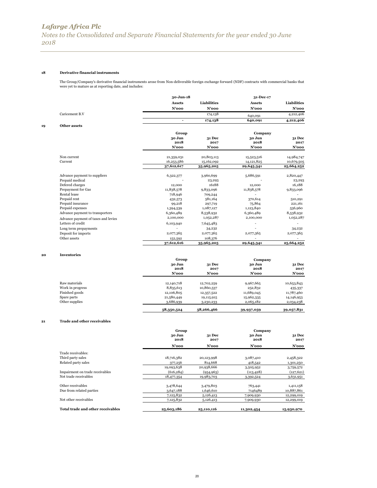*Notes to the Consolidated and Separate Financial Statements for the year ended 30 June 2018*

### **18 Derivative financial instruments**

The Group/Company's derivative financial instruments arose from Non-deliverable foreign exchange forward (NDF) contracts with commercial banks that were yet to mature as at reporting date, and includes:

|    |                                     | 30-Jun-18     |                    | 31-Dec-17     |                    |
|----|-------------------------------------|---------------|--------------------|---------------|--------------------|
|    |                                     | <b>Assets</b> | <b>Liabilities</b> | <b>Assets</b> | <b>Liabilities</b> |
|    |                                     | $N'$ 000      | $N'$ 000           | $N'$ 000      | $N'$ 000           |
|    | Caricement B.V                      |               | 174,138            | 640,091       | 4,212,406          |
|    |                                     |               | 174,138            | 640,091       | 4,212,406          |
| 19 | Other assets                        |               |                    |               |                    |
|    |                                     | Group         |                    | Company       |                    |
|    |                                     | 30 Jun        | <b>31 Dec</b>      | 30 Jun        | <b>31 Dec</b>      |
|    |                                     | 2018          | 2017               | 2018          | 2017               |
|    |                                     | $N'$ 000      | $N'$ 000           | N'ooo         | $N'$ 000           |
|    | Non current                         | 21,359,031    | 20,803,113         | 15,523,516    | 14,984,747         |
|    | Current                             | 16,253,586    | 15,162,092         | 14,121,825    | 10,679,505         |
|    |                                     | 37,612,617    | 35,965,205         | 29,645,341    | 25,664,252         |
|    | Advance payment to suppliers        | 6,322,377     | 3,960,699          | 5,686,591     | 2,820,447          |
|    | Prepaid medical                     |               | 23,293             |               | 23,293             |
|    | Defered charges                     | 12,000        | 16188              | 12,000        | 16,188             |
|    | Prepayment for Gas                  | 11,838,578    | 9,833,096          | 11,838,578    | 9,833,096          |
|    | Rental lease                        | 718,946       | 709,244            |               |                    |
|    | Prepaid rent                        | 432,573       | 581,164            | 370,614       | 510,291            |
|    | Prepaid insurance                   | 99,218        | 297,719            | 75,864        | 221,161            |
|    | Prepaid expenses                    | 1,394,539     | 1,087,127          | 1,123,840     | 536,960            |
|    | Advance payment to transporters     | 6,360,489     | 8,538,932          | 6,360,489     | 8,538,932          |
|    | Advance payment of taxes and levies | 2,100,000     | 1,052,287          | 2,100,000     | 1,052,287          |
|    | Letters of credit                   | 6,103,940     | 7,645,483          |               |                    |
|    | Long term prepayments               |               | 34,232             |               | 34,232             |
|    | Deposit for imports                 | 2,077,365     | 2,077,365          | 2,077,365     | 2,077,365          |
|    | Other assets                        | 152,592       | 108,376            |               |                    |
|    |                                     | 37,612,616    | 35,965,205         | 29,645,341    | 25,664,252         |
|    |                                     |               |                    |               |                    |

#### **20 Inventories**

|                  | Group      |               |            | Company       |
|------------------|------------|---------------|------------|---------------|
|                  | 30 Jun     | <b>31 Dec</b> | 30 Jun     | <b>31 Dec</b> |
|                  | 2018       | 2017          | 2018       | 2017          |
|                  | $N'$ 000   | N'ooo         | N'ooo      | N'ooo         |
| Raw materials    | 12,140,718 | 12,702,259    | 9,967,665  | 10,653,843    |
| Work in progress | 8,835,613  | 10,860,537    | 252,832    | 435,337       |
| Finished goods   | 12,106,805 | 12,357,522    | 11,689,045 | 11,787,460    |
| Spare parts      | 21,580,449 | 19,115,915    | 15,962,335 | 14,146,953    |
| Other supplies   | 3,686,939  | 3,230,233     | 2,065,182  | 2,034,238     |
|                  | 58,350,524 | 58,266,466    | 39,937,059 | 39,057,831    |

### **21 Trade and other receivables**

|                                          | Group                    | Company                  |                         |                         |  |
|------------------------------------------|--------------------------|--------------------------|-------------------------|-------------------------|--|
|                                          | 30 Jun<br>2018           | <b>31 Dec</b><br>2017    | 30 Jun<br>2018          | <b>31 Dec</b><br>2017   |  |
|                                          | N'ooo                    | N'ooo                    | N'ooo                   | N'ooo                   |  |
| Trade receivables:                       |                          |                          |                         |                         |  |
| Third party sales                        | 18,716,382               | 20,123,998               | 3,087,410               | 2,458,322               |  |
| Related party sales                      | 377,256                  | 814,668                  | 418,542                 | 1,301,250               |  |
| Impairment on trade receivables          | 19,093,638<br>(616, 284) | 20,938,666<br>(954, 963) | 3,505,952<br>(113, 428) | 3,759,572<br>(127, 621) |  |
| Net trade receivables                    | 18,477,354               | 19,983,703               | 3,392,524               | 3,631,951               |  |
| Other receivables                        | 3,478,644                | 3,479,803                | 763,441                 | 1,411,158               |  |
| Due from related parties                 | 3,647,188                | 1,646,610                | 7146489                 | 10,887,861              |  |
|                                          | 7,125,832                | 5,126,413                | 7,909,930               | 12,299,019              |  |
| Net other receivables                    | 7,125,832                | 5,126,413                | 7,909,930               | 12,299,019              |  |
| <b>Total trade and other receivables</b> | 25,603,186               | 25,110,116               | 11,302,454              | 15,930,970              |  |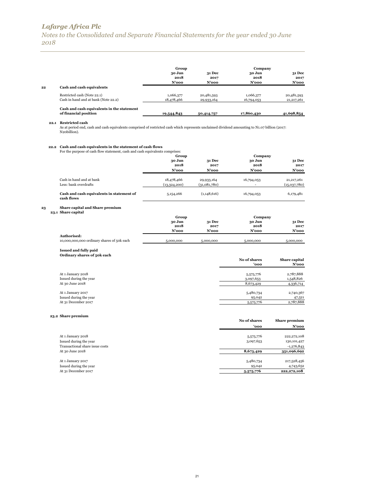*Notes to the Consolidated and Separate Financial Statements for the year ended 30 June 2018*

|    |                                                                                                                                                                                                     | Group                      |                            | Company          |                              |
|----|-----------------------------------------------------------------------------------------------------------------------------------------------------------------------------------------------------|----------------------------|----------------------------|------------------|------------------------------|
|    |                                                                                                                                                                                                     | 30 Jun                     | 31 Dec                     | 30 Jun           | 31 Dec                       |
|    |                                                                                                                                                                                                     | 2018                       | 2017                       | 2018             | 2017                         |
| 22 | Cash and cash equivalents                                                                                                                                                                           | N'ooo                      | N'ooo                      | N'ooo            | $N'$ 000                     |
|    | Restricted cash (Note 22.1)                                                                                                                                                                         | 1,066,377                  | 20,481,593                 | 1,066,377        | 20,481,593                   |
|    | Cash in hand and at bank (Note 22.2)                                                                                                                                                                | 18,478,466                 | 29,933,164                 | 16,794,053       | 21,217,261                   |
|    | Cash and cash equivalents in the statement<br>of financial position                                                                                                                                 | 19,544,843                 | 50,414,757                 | 17,860,430       | 41,698,854                   |
|    | 22.1 Restricted cash<br>As at period end, cash and cash equivalents comprised of restricted cash which represents unclaimed dividend amounting to N1.07 billion (2017:<br>N <sub>2</sub> obillion). |                            |                            |                  |                              |
|    | 22.2 Cash and cash equivalents in the statement of cash flows<br>For the purpose of cash flow statement, cash and cash equivalents comprises:                                                       |                            |                            |                  |                              |
|    |                                                                                                                                                                                                     | Group                      |                            | Company          |                              |
|    |                                                                                                                                                                                                     | 30 Jun                     | 31 Dec                     | 30 Jun           | 31 Dec                       |
|    |                                                                                                                                                                                                     | 2018<br>N'ooo              | 2017<br>$N'$ 000           | 2018<br>$N'$ 000 | 2017<br>N'ooo                |
|    |                                                                                                                                                                                                     |                            |                            |                  |                              |
|    | Cash in hand and at bank<br>Less: bank overdrafts                                                                                                                                                   | 18,478,466<br>(13,324,200) | 29,933,164<br>(31,081,780) | 16,794,053       | 21, 217, 261<br>(15,037,780) |
|    | Cash and cash equivalents in statement of<br>cash flows                                                                                                                                             | 5,154,266                  | (1,148,616)                | 16,794,053       | 6,179,481                    |
| 23 | Share capital and Share premium                                                                                                                                                                     |                            |                            |                  |                              |
|    | 23.1 Share capital                                                                                                                                                                                  | Group                      |                            | Company          |                              |
|    |                                                                                                                                                                                                     | 30 Jun                     | 31 Dec                     | 30 Jun           | 31 Dec                       |
|    |                                                                                                                                                                                                     | 2018                       | 2017                       | 2018<br>N'ooo    | 2017                         |
|    | Authorised:                                                                                                                                                                                         | $N'$ 000                   | $N'$ 000                   |                  | N'ooo                        |
|    | 10,000,000,000 ordinary shares of 50k each                                                                                                                                                          | 5,000,000                  | 5,000,000                  | 5,000,000        | 5,000,000                    |
|    | <b>Issued and fully paid</b>                                                                                                                                                                        |                            |                            |                  |                              |
|    | Ordinary shares of 50k each                                                                                                                                                                         |                            |                            | No of shares     | Share capital                |
|    |                                                                                                                                                                                                     |                            |                            | 'ooo             | N'ooo                        |
|    | At 1 January 2018                                                                                                                                                                                   |                            |                            | 5,575,776        | 2,787,888                    |
|    | Issued during the year                                                                                                                                                                              |                            |                            | 3,097,653        | 1,548,826                    |
|    | At 30 June 2018                                                                                                                                                                                     |                            |                            | 8,673,429        | 4,336,714                    |
|    | At 1 January 2017                                                                                                                                                                                   |                            |                            | 5,480,734        | 2,740,367                    |
|    | Issued during the year                                                                                                                                                                              |                            |                            | 95,042           | 47,521                       |
|    | At 31 December 2017                                                                                                                                                                                 |                            |                            | 5,575,776        | 2,787,888                    |
|    | 23.2 Share premium                                                                                                                                                                                  |                            |                            | No of shares     | <b>Share premium</b>         |
|    |                                                                                                                                                                                                     |                            |                            | 'ooo             | N'ooo                        |
|    |                                                                                                                                                                                                     |                            |                            |                  |                              |
|    | At 1 January 2018                                                                                                                                                                                   |                            |                            | 5,575,776        | 222,272,108                  |
|    | Issued during the year<br>Transactional share issue costs                                                                                                                                           |                            |                            | 3,097,653        | 130,101,427<br>$-1,276,843$  |
|    | At 30 June 2018                                                                                                                                                                                     |                            |                            | 8,673,429        | 351,096,692                  |
|    |                                                                                                                                                                                                     |                            |                            |                  |                              |
|    | At 1 January 2017                                                                                                                                                                                   |                            |                            | 5,480,734        | 217,528,456                  |
|    | Issued during the year                                                                                                                                                                              |                            |                            | 95,042           | 4,743,652                    |
|    | At 31 December 2017                                                                                                                                                                                 |                            |                            | 5,575,776        | 222, 272, 108                |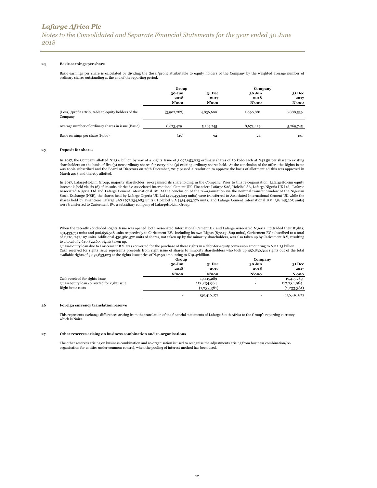### **24 Basic earnings per share**

Basic earnings per share is calculated by dividing the (loss)/profit attributable to equity holders of the Company by the weighted average number of ordinary shares outstanding at the end of the reporting period.

|                                                                 | Group                      |                                   | Company                 |                                |
|-----------------------------------------------------------------|----------------------------|-----------------------------------|-------------------------|--------------------------------|
|                                                                 | 30 Jun<br>2018<br>$N'$ 000 | <b>31 Dec</b><br>2017<br>$N'$ 000 | 30 Jun<br>2018<br>N'ooo | <b>31 Dec</b><br>2017<br>N'ooo |
| (Loss) /profit attributable to equity holders of the<br>Company | (3,902,287)                | 4,836,600                         | 2,090,881               | 6,888,539                      |
| Average number of ordinary shares in issue (Basic)              | 8,673,429                  | 5,269,745                         | 8,673,429               | 5,269,745                      |
| Basic earnings per share (Kobo)                                 | (45)                       | 92                                | 24                      | 131                            |

#### **25 Deposit for shares**

In 2017, the Company allotted N131.6 billion by way of a Rights Issue of 3,097,653,023 ordinary shares of 50 kobo each at N42.50 per share to existing<br>shareholders on the basis of five (5) new ordinary shares for every nin was 100% subscribed and the Board of Directors on 28th December, 2017 passed a resolution to approve the basis of allotment ad this was approved in March 2018 and thereby allotted.

In 2017, LafargeHolcim Group, majority shareholder, re-organised its shareholding in the Company. Prior to this re-organisation, LafargeHolcim equity interest is held via six (6) of its subsidiaries i.e Associated International Cement UK, Financiere Lafarge SAS, Holcibel SA, Lafarge Nigeria UK Ltd, Lafarge Associated Nigeria Ltd and Lafarge Cement International BV. At the conclusion of the re-organisation via the nominal transfer window of the Nigerian<br>Stock Exchange (NSE), the shares held by Lafarge Nigeria UK Ltd (427,453, were transferred to Caricement BV, a subsidiary company of LafargeHolcim Group.

When the recently concluded Rights Issue was opened, both Associated International Cement UK and Lafarge Associated Nigeria Ltd traded their Rights; 431,433,751 units and 906,656,548 units respectively to Caricement BV. Including its own Rights (872,151,809 units), Caricement BV subscribed to a total of 2,210, 242,107 units. Additional 430,580,572 units of shares, not taken up by the minority shareholders, was also taken up by Caricement B.V, resulting

to a total of 2,640,822,679 rights taken up. Quasi-Equity loan due to Caricement B.V. was converted for the purchase of these rights in a debt-for-equity conversion amounting to N112.23 billion. Cash received for rights issue represents proceeds from right issue of shares to minority shareholders who took up 456,830,344 rights out of the total available rights of 3,097,653,023 at the rights issue price of N42.50 amounting to N19.42billion.

|                                             | Group          |                       | Company        |                       |
|---------------------------------------------|----------------|-----------------------|----------------|-----------------------|
|                                             | 30 Jun<br>2018 | <b>31 Dec</b><br>2017 | 30 Jun<br>2018 | <b>31 Dec</b><br>2017 |
|                                             | N'ooo          | $N'$ 000              | N'ooo          | N'ooo                 |
| Cash received for rights issue              | $\sim$         | 19,415,289            | $\sim$         | 19,415,289            |
| Quasi equity loan converted for right issue |                | 112,234,964           |                | 112,234,964           |
| Right issue costs                           |                | (1,233,381)           |                | (1,233,381)           |
|                                             |                | 130,416,872           |                | 130,416,872           |

#### **26 Foreign currency translation reserve**

This represents exchange differences arising from the translation of the financial statements of Lafarge South Africa to the Group's reporting currency which is Naira.

#### **27 Other reserves arising on business combination and re-organisations**

The other reserves arising on business combination and re-organisation is used to recognise the adjustments arising from business combination/reorganisation for entities under common control, when the pooling of interest method has been used.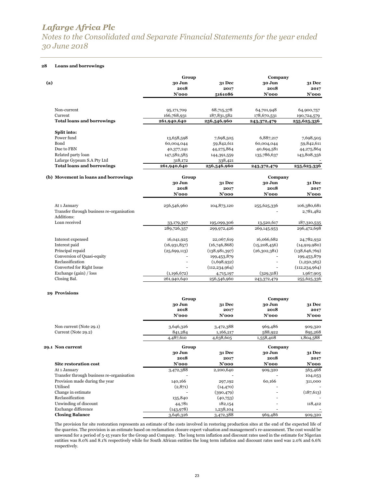*Notes to the Consolidated and Separate Financial Statements for the year ended 30 June 2018*

### **28 Loans and borrowings**

|                                                                             | Group          |                      | Company        |                    |
|-----------------------------------------------------------------------------|----------------|----------------------|----------------|--------------------|
| (a)                                                                         | 30 Jun         | 31 Dec               | 30 Jun         | 31 Dec             |
|                                                                             | 2018           | 2017                 | 2018           | 2017               |
|                                                                             | N'ooo          | 5161086              | $N'$ 000       | $N'$ 000           |
| Non-current                                                                 | 95,171,709     | 68,715,378           | 64,701,948     | 64,900,757         |
| Current                                                                     | 166,768,931    | 187,831,582          | 178,670,531    | 190,724,579        |
| <b>Total loans and borrowings</b>                                           | 261,940,640    | 256,546,960          | 243,372,479    | 255,625,336        |
| Split into:                                                                 |                |                      |                |                    |
| Power fund                                                                  | 13,658,598     | 7,698,505            | 6,887,217      | 7,698,505          |
| Bond                                                                        | 60,004,044     | 59,842,611           | 60,004,044     | 59,842,611         |
| Due to FBN                                                                  | 40,377,241     | 44,275,864           | 40,694,581     | 44,275,864         |
| Related party loan                                                          | 147,582,585    | 144,391,559          | 135,786,637    | 143,808,356        |
| Lafarge Gypsum S.A Pty Ltd                                                  | 318,172        | 338,421              |                |                    |
| <b>Total loans and borrowings</b>                                           | 261,940,640    | 256,546,960          | 243,372,479    | 255,625,336        |
| (b) Movement in loans and borrowings                                        | Group          |                      | Company        |                    |
|                                                                             | 30 Jun         | 31 Dec               | 30 Jun         | 31 Dec             |
|                                                                             | 2018           | 2017                 | 2018           | 2017               |
|                                                                             | N'ooo          | $N'$ 000             | $N'$ 000       | N'ooo              |
| At 1 January                                                                | 256,546,960    | 104,873,120          | 255,625,336    | 106,380,681        |
| Transfer through business re-organisation                                   |                |                      |                | 2,781,482          |
| Additions:                                                                  |                |                      |                |                    |
| Loan received                                                               | 33,179,397     | 195,099,306          | 13,520,617     | 187,310,535        |
|                                                                             | 289,726,357    | 299,972,426          | 269,145,953    | 296,472,698        |
| Interest expensed                                                           | 16,041,925     | 22,067,619           | 16,066,682     | 24,782,932         |
| Interest paid                                                               | (16,931,857)   | (16,746,868)         | (15, 208, 456) | (14, 919, 980)     |
| Principal repaid                                                            | (25, 699, 113) | (138,981,397)        | (26,302,381)   | (138, 646, 769)    |
| Conversion of Quasi-equity                                                  |                | 199,453,879          |                | 199,453,879        |
| Reclassification                                                            |                | (1,698,932)          |                | (1,250,365)        |
| Converted for Right Issue                                                   |                | (112, 234, 964)      |                | (112, 234, 964)    |
| Exchange (gain) / loss                                                      | (1,196,672)    | 4,715,197            | (329,318)      | 1,967,905          |
| Closing Bal.                                                                | 261,940,640    | 256,546,960          | 243,372,479    | 255,625,336        |
| 29 Provisions                                                               |                |                      |                |                    |
|                                                                             | Group          |                      | Company        |                    |
|                                                                             | 30 Jun         | 31 Dec               | 30 Jun         | 31 Dec             |
|                                                                             | 2018           | 2017                 | 2018           | 2017               |
|                                                                             | $N'$ 000       | N'ooo                | $N'$ 000       | N'ooo              |
| Non current (Note 29.1)                                                     | 3,646,326      | 3,472,388            | 969,486        | 909,320            |
| Current (Note 29.2)                                                         | 841,284        | 1,166,217            | 588,922        | 895,268            |
|                                                                             | 4,487,610      | 4,638,605            | 1,558,408      | 1,804,588          |
| 29.1 Non current                                                            | Group          |                      | Company        |                    |
|                                                                             | 30 Jun         | 31 Dec               | 30 Jun         | 31 Dec             |
|                                                                             | 2018           | 2017                 | 2018           | 2017               |
| Site restoration cost                                                       | N'ooo          | N'ooo                | N'ooo          | $N'$ 000           |
| At 1 January                                                                | 3,472,388      | 2,200,640            | 909,320        | 563,468            |
| Transfer through business re-organisation<br>Provision made during the year | 140,166        |                      | 60,166         | 104,053<br>311,000 |
| Utilised                                                                    | (2,871)        | 297,192<br>(14, 470) |                |                    |
| Change in estimate                                                          |                | (390, 479)           |                | (187, 613)         |
| Reclassification                                                            | 135,840        | (40,753)             |                |                    |
| Unwinding of discount                                                       | 44,781         | 182,154              |                | 118,412            |
| Exchange difference                                                         | (143, 978)     | 1,238,104            |                |                    |
| <b>Closing Balance</b>                                                      | 3,646,326      | 3,472,388            | 969,486        | 909,320            |

The provision for site restoration represents an estimate of the costs involved in restoring production sites at the end of the expected life of the quarries. The provision is an estimate based on reclamation closure expert valuation and management's re-assessment. The cost would be unwound for a period of 5-15 years for the Group and Company. The long term inflation and discount rates used in the estimate for Nigerian entities was 8.0% and 8.1% respectively while for South African entities the long term inflation and discount rates used was 2.0% and 6.6% respectively.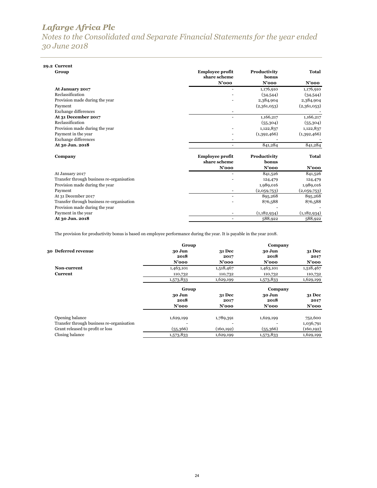*Notes to the Consolidated and Separate Financial Statements for the year ended 30 June 2018*

| 29.2 Current                              |                        |              |              |
|-------------------------------------------|------------------------|--------------|--------------|
| Group                                     | <b>Employee profit</b> | Productivity | Total        |
|                                           | share scheme           | honus        |              |
|                                           | $N'$ 000               | $N'$ 000     | $N'$ 000     |
| At January 2017                           |                        | 1,176,910    | 1,176,910    |
| Reclassification                          |                        | (34,544)     | (34,544)     |
| Provision made during the year            |                        | 2,384,904    | 2,384,904    |
| Payment                                   |                        | (2,361,053)  | (2,361,053)  |
| <b>Exchange differences</b>               |                        |              |              |
| At 31 December 2017                       |                        | 1,166,217    | 1,166,217    |
| Reclassification                          |                        | (55,304)     | (55,304)     |
| Provision made during the year            |                        | 1,122,837    | 1,122,837    |
| Payment in the year                       |                        | (1,392,466)  | (1,392,466)  |
| <b>Exchange differences</b>               |                        |              |              |
| At 30 Jun. 2018                           |                        | 841,284      | 841,284      |
| Company                                   | <b>Employee profit</b> | Productivity | <b>Total</b> |
|                                           | share scheme           | honus        |              |
|                                           | $N'$ 000               | $N'$ 000     | N'ooo        |
| At January 2017                           |                        | 841,526      | 841,526      |
| Transfer through business re-organisation |                        | 124,479      | 124,479      |
| Provision made during the year            |                        | 1,989,016    | 1,989,016    |
| Payment                                   |                        | (2,059,753)  | (2,059,753)  |
| At 31 December 2017                       | ۰                      | 895,268      | 895,268      |
| Transfer through business re-organisation |                        | 876,588      | 876,588      |
| Provision made during the year            |                        |              |              |
| Payment in the year                       |                        | (1,182,934)  | (1,182,934)  |
| At 30 Jun. 2018                           |                        | 588,922      | 588,922      |

The provision for productivity bonus is based on employee performance during the year. It is payable in the year 2018.

|                                           | Group          |                | Company        |                       |
|-------------------------------------------|----------------|----------------|----------------|-----------------------|
| 30 Deferred revenue                       | 30 Jun<br>2018 | 31 Dec<br>2017 | 30 Jun<br>2018 | <b>31 Dec</b><br>2017 |
|                                           | $N'$ 000       | $N'$ 000       | $N'$ 000       | $N'$ 000              |
| Non-current                               | 1,463,101      | 1,518,467      | 1,463,101      | 1,518,467             |
| Current                                   | 110,732        | 110,732        | 110,732        | 110,732               |
|                                           | 1,573,833      | 1,629,199      | 1,573,833      | 1,629,199             |
|                                           | Group          |                | Company        |                       |
|                                           | 30 Jun         | 31 Dec         | 30 Jun         | <b>31 Dec</b>         |
|                                           | 2018           | 2017           | 2018           | 2017                  |
|                                           | $N'$ 000       | $N'$ 000       | $N'$ 000       | $N'$ 000              |
| Opening balance                           | 1,629,199      | 1,789,391      | 1,629,199      | 752,600               |
| Transfer through business re-organisation |                |                |                | 1,036,791             |
| Grant released to profit or loss          | (55,366)       | (160, 192)     | (55,366)       | (160, 192)            |
| Closing balance                           | 1,573,833      | 1,629,199      | 1,573,833      | 1,629,199             |